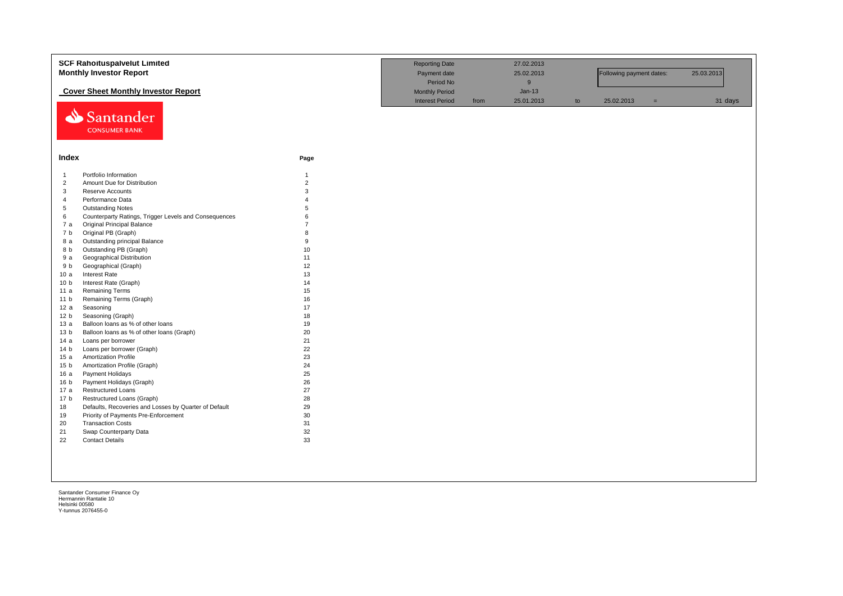|                 | <b>SCF Rahoituspalvelut Limited</b>                   |                | <b>Reporting Date</b>  |      | 27.02.2013 |    |                          |     |            |
|-----------------|-------------------------------------------------------|----------------|------------------------|------|------------|----|--------------------------|-----|------------|
|                 | <b>Monthly Investor Report</b>                        |                | Payment date           |      | 25.02.2013 |    | Following payment dates: |     | 25.03.2013 |
|                 |                                                       |                | Period No              |      | 9          |    |                          |     |            |
|                 | <b>Cover Sheet Monthly Investor Report</b>            |                | <b>Monthly Period</b>  |      | $Jan-13$   |    |                          |     |            |
|                 |                                                       |                | <b>Interest Period</b> | from | 25.01.2013 | to | 25.02.2013               | $=$ | 31 days    |
| ⇘               | Santander<br><b>CONSUMER BANK</b>                     |                |                        |      |            |    |                          |     |            |
| Index           |                                                       | Page           |                        |      |            |    |                          |     |            |
| $\mathbf{1}$    | Portfolio Information                                 | $\mathbf{1}$   |                        |      |            |    |                          |     |            |
| $\overline{2}$  | Amount Due for Distribution                           | $\overline{2}$ |                        |      |            |    |                          |     |            |
| 3               | <b>Reserve Accounts</b>                               | 3              |                        |      |            |    |                          |     |            |
| $\overline{4}$  | Performance Data                                      |                |                        |      |            |    |                          |     |            |
| 5               | <b>Outstanding Notes</b>                              | 5              |                        |      |            |    |                          |     |            |
| 6               | Counterparty Ratings, Trigger Levels and Consequences | 6              |                        |      |            |    |                          |     |            |
| 7a              | Original Principal Balance                            | $\overline{7}$ |                        |      |            |    |                          |     |            |
| 7 b             | Original PB (Graph)                                   | 8              |                        |      |            |    |                          |     |            |
| 8 a             | Outstanding principal Balance                         | 9              |                        |      |            |    |                          |     |            |
| 8 b             | Outstanding PB (Graph)                                | 10             |                        |      |            |    |                          |     |            |
| 9 a             | <b>Geographical Distribution</b>                      | 11             |                        |      |            |    |                          |     |            |
| 9 b             | Geographical (Graph)                                  | 12             |                        |      |            |    |                          |     |            |
| 10a             | Interest Rate                                         | 13             |                        |      |            |    |                          |     |            |
| 10 <sub>b</sub> | Interest Rate (Graph)                                 | 14             |                        |      |            |    |                          |     |            |
| 11 a            | <b>Remaining Terms</b>                                | 15             |                        |      |            |    |                          |     |            |
| 11 <sub>b</sub> | Remaining Terms (Graph)                               | 16             |                        |      |            |    |                          |     |            |
| 12a             | Seasoning                                             | 17             |                        |      |            |    |                          |     |            |
| 12 <sub>b</sub> | Seasoning (Graph)                                     | 18             |                        |      |            |    |                          |     |            |
| 13a             | Balloon loans as % of other loans                     | 19             |                        |      |            |    |                          |     |            |
| 13 <sub>b</sub> | Balloon loans as % of other loans (Graph)             | 20             |                        |      |            |    |                          |     |            |
| 14 a            | Loans per borrower                                    | 21             |                        |      |            |    |                          |     |            |
| 14 <sub>b</sub> | Loans per borrower (Graph)                            | 22             |                        |      |            |    |                          |     |            |
| 15a             | <b>Amortization Profile</b>                           | 23             |                        |      |            |    |                          |     |            |
| 15 <sub>b</sub> | Amortization Profile (Graph)                          | 24             |                        |      |            |    |                          |     |            |
| 16a             | Payment Holidays                                      | 25             |                        |      |            |    |                          |     |            |
| 16 <sub>b</sub> | Payment Holidays (Graph)                              | 26             |                        |      |            |    |                          |     |            |
| 17 a            | <b>Restructured Loans</b>                             | 27             |                        |      |            |    |                          |     |            |
| 17 <sub>b</sub> | Restructured Loans (Graph)                            | 28             |                        |      |            |    |                          |     |            |
| 18              | Defaults, Recoveries and Losses by Quarter of Default | 29             |                        |      |            |    |                          |     |            |
| 19              | Priority of Payments Pre-Enforcement                  | 30             |                        |      |            |    |                          |     |            |
| 20              | <b>Transaction Costs</b>                              | 31             |                        |      |            |    |                          |     |            |
| 21              | Swap Counterparty Data                                | 32             |                        |      |            |    |                          |     |            |
| 22              | <b>Contact Details</b>                                | 33             |                        |      |            |    |                          |     |            |
|                 |                                                       |                |                        |      |            |    |                          |     |            |
|                 |                                                       |                |                        |      |            |    |                          |     |            |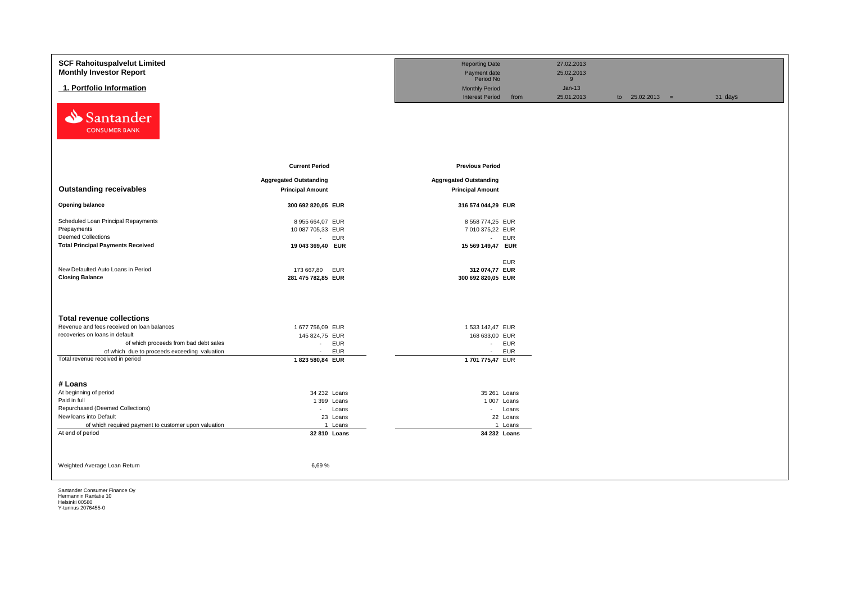| <b>SCF Rahoituspalvelut Limited</b><br><b>Monthly Investor Report</b> |                               | <b>Reporting Date</b><br>Payment date |            | 27.02.2013<br>25.02.2013 |                   |         |
|-----------------------------------------------------------------------|-------------------------------|---------------------------------------|------------|--------------------------|-------------------|---------|
|                                                                       |                               | Period No                             |            | 9                        |                   |         |
| 1. Portfolio Information                                              |                               | <b>Monthly Period</b>                 |            | $Jan-13$                 |                   |         |
|                                                                       |                               | <b>Interest Period</b>                | from       | 25.01.2013               | to $25.02.2013 =$ | 31 days |
| Santander<br>⇘<br><b>CONSUMER BANK</b>                                |                               |                                       |            |                          |                   |         |
|                                                                       | <b>Current Period</b>         | <b>Previous Period</b>                |            |                          |                   |         |
|                                                                       | <b>Aggregated Outstanding</b> | <b>Aggregated Outstanding</b>         |            |                          |                   |         |
| <b>Outstanding receivables</b>                                        | <b>Principal Amount</b>       | <b>Principal Amount</b>               |            |                          |                   |         |
|                                                                       |                               |                                       |            |                          |                   |         |
| <b>Opening balance</b>                                                | 300 692 820,05 EUR            | 316 574 044,29 EUR                    |            |                          |                   |         |
| Scheduled Loan Principal Repayments                                   | 8 955 664,07 EUR              | 8 558 774,25 EUR                      |            |                          |                   |         |
| Prepayments                                                           | 10 087 705,33 EUR             | 7 010 375,22 EUR                      |            |                          |                   |         |
| <b>Deemed Collections</b>                                             | <b>EUR</b><br>$\sim$          | - EUR                                 |            |                          |                   |         |
| <b>Total Principal Payments Received</b>                              | 19 043 369,40 EUR             | 15 569 149,47 EUR                     |            |                          |                   |         |
|                                                                       |                               |                                       | <b>EUR</b> |                          |                   |         |
| New Defaulted Auto Loans in Period                                    | 173 667,80<br><b>EUR</b>      | 312 074,77 EUR                        |            |                          |                   |         |
| <b>Closing Balance</b>                                                | 281 475 782,85 EUR            | 300 692 820,05 EUR                    |            |                          |                   |         |
|                                                                       |                               |                                       |            |                          |                   |         |
| <b>Total revenue collections</b>                                      |                               |                                       |            |                          |                   |         |
| Revenue and fees received on loan balances                            | 1 677 756,09 EUR              | 1 533 142,47 EUR                      |            |                          |                   |         |
| recoveries on loans in default                                        | 145 824,75 EUR                | 168 633,00 EUR                        |            |                          |                   |         |
| of which proceeds from bad debt sales                                 | <b>EUR</b><br>$\sim$          | - EUR                                 |            |                          |                   |         |
| of which due to proceeds exceeding valuation                          | <b>EUR</b><br>$\sim$          | $\sim$                                | <b>EUR</b> |                          |                   |         |
| Total revenue received in period                                      | 1823 580,84 EUR               | 1701775,47 EUR                        |            |                          |                   |         |
| # Loans                                                               |                               |                                       |            |                          |                   |         |
| At beginning of period                                                | 34 232 Loans                  | 35 261 Loans                          |            |                          |                   |         |
| Paid in full                                                          | 1 399 Loans                   | 1 007 Loans                           |            |                          |                   |         |
| Repurchased (Deemed Collections)                                      | - Loans                       |                                       | - Loans    |                          |                   |         |
| New loans into Default                                                | 23 Loans                      |                                       | 22 Loans   |                          |                   |         |
| of which required payment to customer upon valuation                  | 1 Loans                       |                                       | 1 Loans    |                          |                   |         |
| At end of period                                                      | 32 810 Loans                  | 34 232 Loans                          |            |                          |                   |         |
|                                                                       |                               |                                       |            |                          |                   |         |
| Weighted Average Loan Return                                          | 6,69%                         |                                       |            |                          |                   |         |
|                                                                       |                               |                                       |            |                          |                   |         |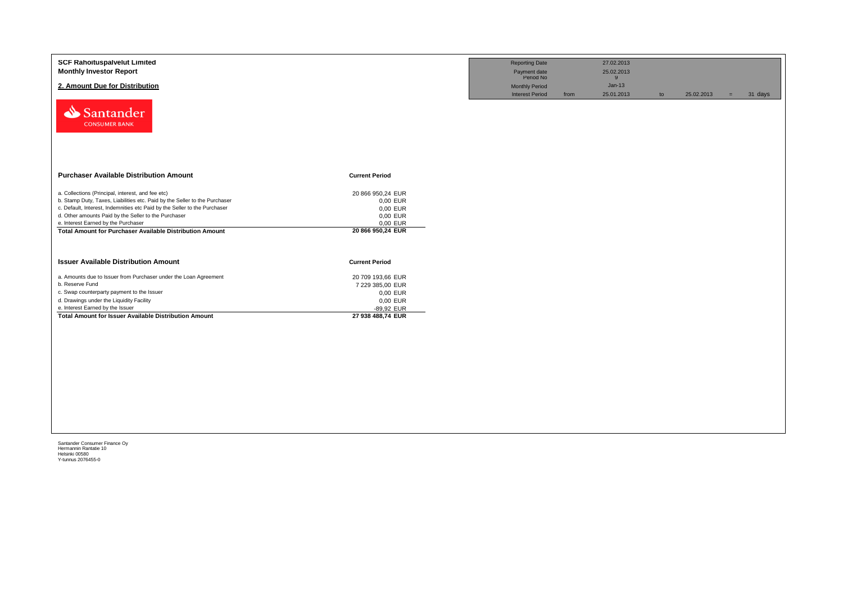| <b>SCF Rahoituspalvelut Limited</b><br><b>Monthly Investor Report</b>                                                                                   |                                 | <b>Reporting Date</b><br>Payment date<br>Period No | 27.02.2013<br>25.02.2013            |    |            |                |
|---------------------------------------------------------------------------------------------------------------------------------------------------------|---------------------------------|----------------------------------------------------|-------------------------------------|----|------------|----------------|
| 2. Amount Due for Distribution                                                                                                                          |                                 | <b>Monthly Period</b><br><b>Interest Period</b>    | 9<br>$Jan-13$<br>25.01.2013<br>from | to | 25.02.2013 | 31 days<br>$=$ |
| Santander<br><b>CONSUMER BANK</b>                                                                                                                       |                                 |                                                    |                                     |    |            |                |
| <b>Purchaser Available Distribution Amount</b>                                                                                                          | <b>Current Period</b>           |                                                    |                                     |    |            |                |
| a. Collections (Principal, interest, and fee etc)                                                                                                       | 20 866 950,24 EUR               |                                                    |                                     |    |            |                |
| b. Stamp Duty, Taxes, Liabilities etc. Paid by the Seller to the Purchaser<br>c. Default, Interest, Indemnities etc Paid by the Seller to the Purchaser | 0,00 EUR                        |                                                    |                                     |    |            |                |
| d. Other amounts Paid by the Seller to the Purchaser                                                                                                    | 0,00 EUR<br>0,00 EUR            |                                                    |                                     |    |            |                |
| e. Interest Earned by the Purchaser                                                                                                                     | 0,00 EUR                        |                                                    |                                     |    |            |                |
| <b>Total Amount for Purchaser Available Distribution Amount</b>                                                                                         | 20 866 950,24 EUR               |                                                    |                                     |    |            |                |
| <b>Issuer Available Distribution Amount</b>                                                                                                             | <b>Current Period</b>           |                                                    |                                     |    |            |                |
| a. Amounts due to Issuer from Purchaser under the Loan Agreement                                                                                        | 20 709 193,66 EUR               |                                                    |                                     |    |            |                |
| b. Reserve Fund                                                                                                                                         | 7 229 385,00 EUR                |                                                    |                                     |    |            |                |
| c. Swap counterparty payment to the Issuer                                                                                                              | 0,00 EUR                        |                                                    |                                     |    |            |                |
| d. Drawings under the Liquidity Facility                                                                                                                | 0,00 EUR                        |                                                    |                                     |    |            |                |
| e. Interest Earned by the Issuer<br><b>Total Amount for Issuer Available Distribution Amount</b>                                                        | -89,92 EUR<br>27 938 488,74 EUR |                                                    |                                     |    |            |                |
|                                                                                                                                                         |                                 |                                                    |                                     |    |            |                |
|                                                                                                                                                         |                                 |                                                    |                                     |    |            |                |
|                                                                                                                                                         |                                 |                                                    |                                     |    |            |                |
|                                                                                                                                                         |                                 |                                                    |                                     |    |            |                |
|                                                                                                                                                         |                                 |                                                    |                                     |    |            |                |
|                                                                                                                                                         |                                 |                                                    |                                     |    |            |                |
|                                                                                                                                                         |                                 |                                                    |                                     |    |            |                |
|                                                                                                                                                         |                                 |                                                    |                                     |    |            |                |
|                                                                                                                                                         |                                 |                                                    |                                     |    |            |                |
|                                                                                                                                                         |                                 |                                                    |                                     |    |            |                |
|                                                                                                                                                         |                                 |                                                    |                                     |    |            |                |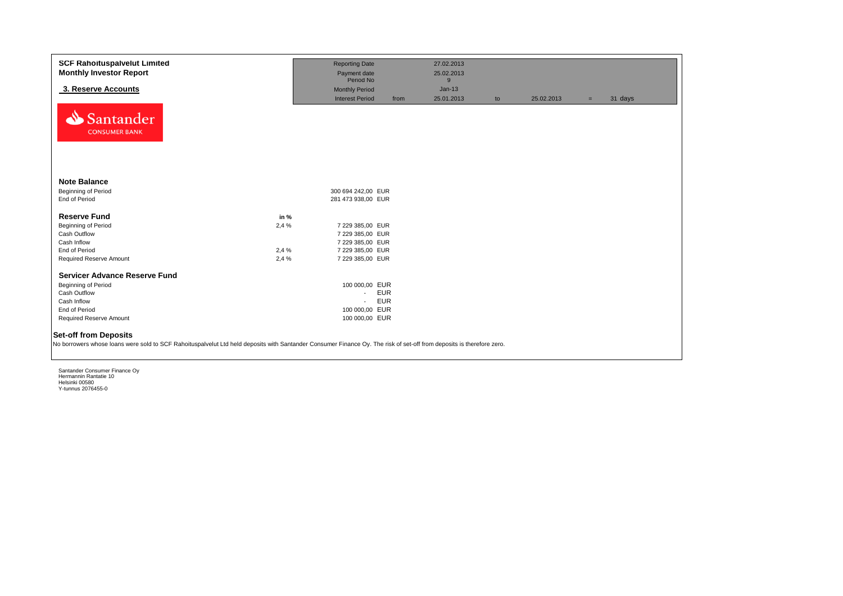| <b>SCF Rahoituspalvelut Limited</b><br><b>Monthly Investor Report</b>                                                                                                                                 |       | <b>Reporting Date</b><br>Payment date |            | 27.02.2013<br>25.02.2013 |    |            |     |         |
|-------------------------------------------------------------------------------------------------------------------------------------------------------------------------------------------------------|-------|---------------------------------------|------------|--------------------------|----|------------|-----|---------|
|                                                                                                                                                                                                       |       | Period No                             |            | 9                        |    |            |     |         |
| 3. Reserve Accounts                                                                                                                                                                                   |       | <b>Monthly Period</b>                 |            | $Jan-13$                 |    |            |     |         |
| Santander<br><b>CONSUMER BANK</b>                                                                                                                                                                     |       | <b>Interest Period</b>                | from       | 25.01.2013               | to | 25.02.2013 | $=$ | 31 days |
| <b>Note Balance</b>                                                                                                                                                                                   |       |                                       |            |                          |    |            |     |         |
| Beginning of Period                                                                                                                                                                                   |       | 300 694 242,00 EUR                    |            |                          |    |            |     |         |
| End of Period                                                                                                                                                                                         |       | 281 473 938,00 EUR                    |            |                          |    |            |     |         |
| <b>Reserve Fund</b>                                                                                                                                                                                   | in %  |                                       |            |                          |    |            |     |         |
| <b>Beginning of Period</b>                                                                                                                                                                            | 2,4 % | 7 229 385,00 EUR                      |            |                          |    |            |     |         |
| Cash Outflow                                                                                                                                                                                          |       | 7 229 385,00 EUR                      |            |                          |    |            |     |         |
| Cash Inflow                                                                                                                                                                                           |       | 7 229 385,00 EUR                      |            |                          |    |            |     |         |
| End of Period                                                                                                                                                                                         | 2,4 % | 7 229 385,00 EUR                      |            |                          |    |            |     |         |
| Required Reserve Amount                                                                                                                                                                               | 2,4 % | 7 229 385,00 EUR                      |            |                          |    |            |     |         |
| <b>Servicer Advance Reserve Fund</b>                                                                                                                                                                  |       |                                       |            |                          |    |            |     |         |
| Beginning of Period                                                                                                                                                                                   |       | 100 000,00 EUR                        |            |                          |    |            |     |         |
| Cash Outflow                                                                                                                                                                                          |       | $\sim$                                | <b>EUR</b> |                          |    |            |     |         |
| Cash Inflow                                                                                                                                                                                           |       | $\sim$                                | <b>EUR</b> |                          |    |            |     |         |
| End of Period                                                                                                                                                                                         |       | 100 000,00 EUR                        |            |                          |    |            |     |         |
| Required Reserve Amount                                                                                                                                                                               |       | 100 000,00 EUR                        |            |                          |    |            |     |         |
| <b>Set-off from Deposits</b><br>No borrowers whose loans were sold to SCF Rahoituspalvelut Ltd held deposits with Santander Consumer Finance Oy. The risk of set-off from deposits is therefore zero. |       |                                       |            |                          |    |            |     |         |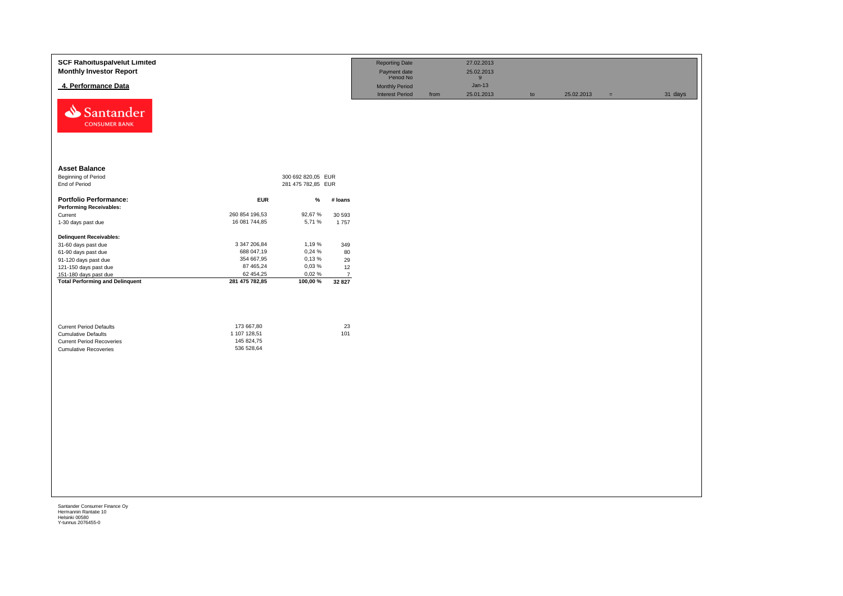| <b>SCF Rahoituspalvelut Limited</b><br><b>Monthly Investor Report</b>                                                            |                                                        |                    |                          | <b>Reporting Date</b><br>Payment date<br>Period No |      | 27.02.2013<br>25.02.2013<br>9 |    |            |     |         |
|----------------------------------------------------------------------------------------------------------------------------------|--------------------------------------------------------|--------------------|--------------------------|----------------------------------------------------|------|-------------------------------|----|------------|-----|---------|
| 4. Performance Data                                                                                                              |                                                        |                    |                          | Monthly Period                                     |      | $Jan-13$                      |    |            |     |         |
| Santander<br><b>CONSUMER BANK</b>                                                                                                |                                                        |                    |                          | <b>Interest Period</b>                             | from | 25.01.2013                    | to | 25.02.2013 | $=$ | 31 days |
| <b>Asset Balance</b>                                                                                                             |                                                        |                    |                          |                                                    |      |                               |    |            |     |         |
| <b>Beginning of Period</b>                                                                                                       |                                                        | 300 692 820,05 EUR |                          |                                                    |      |                               |    |            |     |         |
| End of Period                                                                                                                    |                                                        | 281 475 782,85 EUR |                          |                                                    |      |                               |    |            |     |         |
| <b>Portfolio Performance:</b>                                                                                                    | <b>EUR</b>                                             | %                  | # loans                  |                                                    |      |                               |    |            |     |         |
| <b>Performing Receivables:</b>                                                                                                   |                                                        |                    |                          |                                                    |      |                               |    |            |     |         |
| Current                                                                                                                          | 260 854 196,53                                         | 92,67%             | 30 593                   |                                                    |      |                               |    |            |     |         |
| 1-30 days past due                                                                                                               | 16 081 744,85                                          | 5,71 %             | 1757                     |                                                    |      |                               |    |            |     |         |
| <b>Delinquent Receivables:</b>                                                                                                   |                                                        |                    |                          |                                                    |      |                               |    |            |     |         |
| 31-60 days past due                                                                                                              | 3 347 206,84                                           | 1,19 %             | 349                      |                                                    |      |                               |    |            |     |         |
| 61-90 days past due                                                                                                              | 688 047,19                                             | 0,24 %             | 80                       |                                                    |      |                               |    |            |     |         |
| 91-120 days past due                                                                                                             | 354 667,95                                             | 0,13%              | 29                       |                                                    |      |                               |    |            |     |         |
| 121-150 days past due                                                                                                            | 87 465,24                                              | 0,03%              | 12                       |                                                    |      |                               |    |            |     |         |
| 151-180 days past due<br><b>Total Performing and Delinquent</b>                                                                  | 62 454,25<br>281 475 782,85                            | 0,02%<br>100,00 %  | $\overline{7}$<br>32 827 |                                                    |      |                               |    |            |     |         |
| <b>Current Period Defaults</b><br><b>Cumulative Defaults</b><br><b>Current Period Recoveries</b><br><b>Cumulative Recoveries</b> | 173 667,80<br>1 107 128,51<br>145 824,75<br>536 528,64 |                    | 23<br>101                |                                                    |      |                               |    |            |     |         |
|                                                                                                                                  |                                                        |                    |                          |                                                    |      |                               |    |            |     |         |
|                                                                                                                                  |                                                        |                    |                          |                                                    |      |                               |    |            |     |         |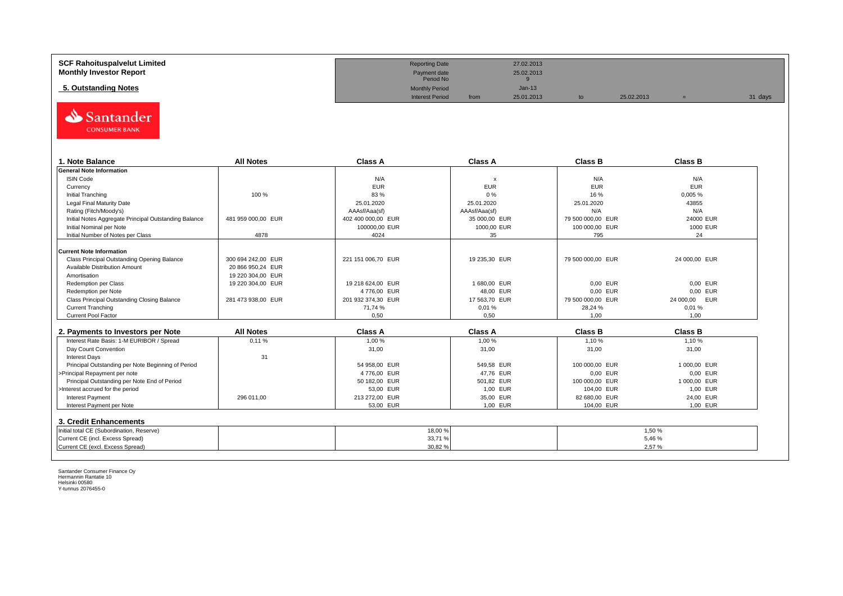| <b>SCF Rahoituspalvelut Limited</b> | <b>Reporting Date</b>     |      | 27.02.2013 |            |         |
|-------------------------------------|---------------------------|------|------------|------------|---------|
| <b>Monthly Investor Report</b>      | Payment date<br>Period No |      | 25.02.2013 |            |         |
| 5. Outstanding Notes                | <b>Monthly Period</b>     |      | $Jan-13$   |            |         |
|                                     | <b>Interest Period</b>    | from | 25.01.2013 | 25.02.2013 | 31 days |



| . Note Balance                                        | <b>All Notes</b>   | <b>Class A</b>     | <b>Class A</b>            | <b>Class B</b>    | <b>Class B</b> |
|-------------------------------------------------------|--------------------|--------------------|---------------------------|-------------------|----------------|
| <b>General Note Information</b>                       |                    |                    |                           |                   |                |
| <b>ISIN Code</b>                                      |                    | N/A                | $\boldsymbol{\mathsf{x}}$ | N/A               | N/A            |
| Currency                                              |                    | <b>EUR</b>         | <b>EUR</b>                | <b>EUR</b>        | <b>EUR</b>     |
| Initial Tranching                                     | 100 %              | 83 %               | 0%                        | 16 %              | 0,005%         |
| Legal Final Maturity Date                             |                    | 25.01.2020         | 25.01.2020                | 25.01.2020        | 43855          |
| Rating (Fitch/Moody's)                                |                    | AAAsf/Aaa(sf)      | AAAsf/Aaa(sf)             | N/A               | N/A            |
| Initial Notes Aggregate Principal Outstanding Balance | 481 959 000.00 EUR | 402 400 000.00 EUR | 35 000.00 EUR             | 79 500 000.00 EUR | 24000 EUR      |
| Initial Nominal per Note                              |                    | 100000,00 EUR      | 1000,00 EUR               | 100 000,00 EUR    | 1000 EUR       |
| Initial Number of Notes per Class                     | 4878               | 4024               | 35                        | 795               | 24             |
|                                                       |                    |                    |                           |                   |                |
| <b>Current Note Information</b>                       |                    |                    |                           |                   |                |
| Class Principal Outstanding Opening Balance           | 300 694 242.00 EUR | 221 151 006,70 EUR | 19 235,30 EUR             | 79 500 000,00 EUR | 24 000,00 EUR  |
| Available Distribution Amount                         | 20 866 950.24 EUR  |                    |                           |                   |                |
| Amortisation                                          | 19 220 304.00 EUR  |                    |                           |                   |                |
| Redemption per Class                                  | 19 220 304,00 EUR  | 19 218 624,00 EUR  | 1680,00 EUR               | 0,00 EUR          | 0.00 EUR       |
| Redemption per Note                                   |                    | 4776,00 EUR        | 48,00 EUR                 | 0,00 EUR          | 0.00 EUR       |
| Class Principal Outstanding Closing Balance           | 281 473 938,00 EUR | 201 932 374.30 EUR | 17 563,70 EUR             | 79 500 000,00 EUR | 24 000,00 EUR  |
| <b>Current Tranching</b>                              |                    | 71.74 %            | 0,01%                     | 28.24 %           | 0.01%          |
| <b>Current Pool Factor</b>                            |                    | 0.50               | 0.50                      | 1.00              | 1.00           |

| 2. Payments to Investors per Note                  | <b>All Notes</b> | <b>Class A</b> | <b>Class A</b> | <b>Class B</b> | Class B      |
|----------------------------------------------------|------------------|----------------|----------------|----------------|--------------|
| Interest Rate Basis: 1-M EURIBOR / Spread          | 0.11%            | 1.00 %         | 1.00 %         | 1.10%          | 1,10 %       |
| Day Count Convention                               |                  | 31,00          | 31,00          | 31,00          | 31,00        |
| <b>Interest Days</b>                               | 31               |                |                |                |              |
| Principal Outstanding per Note Beginning of Period |                  | 54 958.00 EUR  | 549.58 EUR     | 100 000,00 EUR | 1 000.00 EUR |
| >Principal Repayment per note                      |                  | 4776.00 EUR    | 47.76 EUR      | 0.00 EUR       | 0.00 EUR     |
| Principal Outstanding per Note End of Period       |                  | 50 182.00 EUR  | 501.82 EUR     | 100 000,00 EUR | 1 000.00 EUR |
| >Interest accrued for the period                   |                  | 53.00 EUR      | 1.00 EUR       | 104.00 EUR     | 1.00 EUR     |
| <b>Interest Payment</b>                            | 296 011.00       | 213 272.00 EUR | 35.00 EUR      | 82 680.00 EUR  | 24.00 EUR    |
| Interest Payment per Note                          |                  | 53.00 EUR      | 1.00 EUR       | 104.00 EUR     | 1.00 EUR     |
| 3. Credit Enhancements                             |                  |                |                |                |              |
| Initial total CE (Subordination, Reserve)          |                  | 18,00 %        |                |                | 1,50%        |
| Current CE (incl. Excess Spread)                   |                  | 33,71%         |                |                | 5,46%        |
| Current CE (excl. Excess Spread)                   |                  | 30,82%         |                |                | 2,57%        |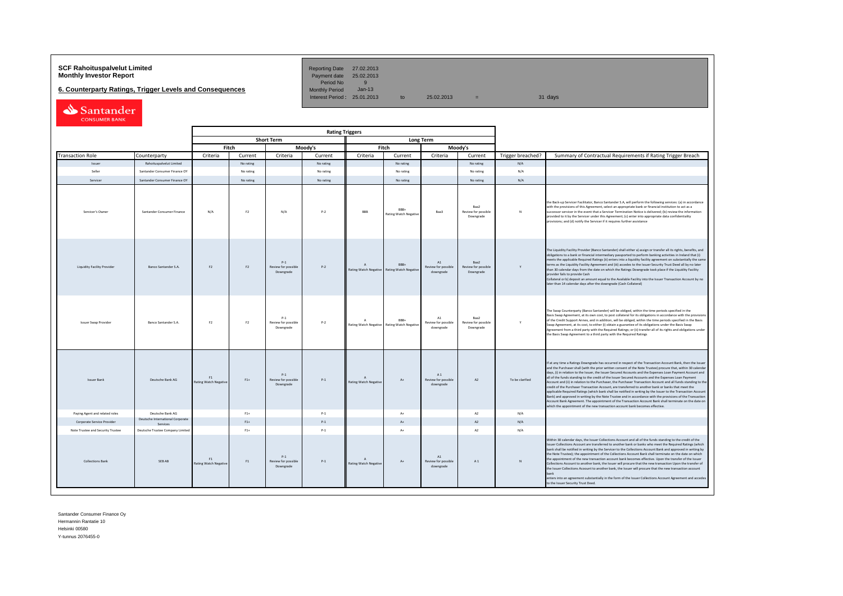# **SCF Rahoituspalvelut Limited Community Community Community Reporting Date 27.02.2013**<br>**Monthly Investor Report** Payment date 25.02.2013

**6. Counterparty Ratings, Trigger Levels and Consequences** 

Period No 9<br>Monthly Period Jan-13 Interest Period:  $25.01.2013$  to  $25.02.2013$  =

| Santander            |
|----------------------|
| <b>CONSUMER BANK</b> |

| <b>Rating Triggers</b>             |                                              |                                    |                |                                           |           |                                       |                                                     |                                                 |                                          |                   |                                                                                                                                                                                                                                                                                                                                                                                                                                                                                                                                                                                                                                                                                                                                                                                                                                                                                                                                                                                                                                                                                                      |
|------------------------------------|----------------------------------------------|------------------------------------|----------------|-------------------------------------------|-----------|---------------------------------------|-----------------------------------------------------|-------------------------------------------------|------------------------------------------|-------------------|------------------------------------------------------------------------------------------------------------------------------------------------------------------------------------------------------------------------------------------------------------------------------------------------------------------------------------------------------------------------------------------------------------------------------------------------------------------------------------------------------------------------------------------------------------------------------------------------------------------------------------------------------------------------------------------------------------------------------------------------------------------------------------------------------------------------------------------------------------------------------------------------------------------------------------------------------------------------------------------------------------------------------------------------------------------------------------------------------|
|                                    |                                              |                                    |                | <b>Short Term</b>                         |           |                                       |                                                     | <b>Long Term</b>                                |                                          |                   |                                                                                                                                                                                                                                                                                                                                                                                                                                                                                                                                                                                                                                                                                                                                                                                                                                                                                                                                                                                                                                                                                                      |
|                                    |                                              |                                    | Fitch          |                                           | Moody's   |                                       | Fitch                                               |                                                 | Moody's                                  |                   |                                                                                                                                                                                                                                                                                                                                                                                                                                                                                                                                                                                                                                                                                                                                                                                                                                                                                                                                                                                                                                                                                                      |
| <b>Transaction Role</b>            | Counterparty                                 | Criteria                           | Current        | Criteria                                  | Current   | Criteria                              | Current                                             | Criteria                                        | Current                                  | Trigger breached? | Summary of Contractual Requirements if Rating Trigger Breach                                                                                                                                                                                                                                                                                                                                                                                                                                                                                                                                                                                                                                                                                                                                                                                                                                                                                                                                                                                                                                         |
| Issuer                             | Rahoituspalvelut Limited                     |                                    | No rating      |                                           | No rating |                                       | No rating                                           |                                                 | No rating                                | N/A               |                                                                                                                                                                                                                                                                                                                                                                                                                                                                                                                                                                                                                                                                                                                                                                                                                                                                                                                                                                                                                                                                                                      |
| Seller                             | Santander Consumer Finance OY                |                                    | No rating      |                                           | No rating |                                       | No rating                                           |                                                 | No rating                                | N/A               |                                                                                                                                                                                                                                                                                                                                                                                                                                                                                                                                                                                                                                                                                                                                                                                                                                                                                                                                                                                                                                                                                                      |
| Servicer                           | Santander Consumer Finance OY                |                                    | No rating      |                                           | No rating |                                       | No rating                                           |                                                 | No rating                                | N/A               |                                                                                                                                                                                                                                                                                                                                                                                                                                                                                                                                                                                                                                                                                                                                                                                                                                                                                                                                                                                                                                                                                                      |
| Servicer's Owner                   | Santander Consumer Finance                   | N/A                                | F <sub>2</sub> | N/A                                       | $P - 2$   | <b>RRR</b>                            | RRR+<br><b>Rating Watch Negative</b>                | Baa3                                            | Raa2<br>Review for possible<br>Downgrade | N                 | the Back-up Servicer Facilitator, Banco Santander S.A, will perform the following services: (a) in accordance<br>with the provisions of this Agreement, select an appropriate bank or financial institution to act as a<br>successor servicer in the event that a Servicer Termination Notice is delivered; (b) review the information<br>provided to it by the Servicer under this Agreement; (c) enter into appropriate data confidentiality<br>provisions; and (d) notify the Servicer if it requires further assistance                                                                                                                                                                                                                                                                                                                                                                                                                                                                                                                                                                          |
| <b>Liquidity Facility Provider</b> | Banco Santander S.A.                         | F <sub>2</sub>                     | F <sub>2</sub> | $P-1$<br>Review for possible<br>Downgrade | $P-2$     | $\Lambda$<br>Rating Watch Negative    | BBB+<br><b>Rating Watch Negativ</b>                 | A1<br>Review for possible<br>downgrade          | Baa2<br>Review for possible<br>Downgrade | Y                 | The Liquidity Facility Provider (Banco Santander) shall either a) assign or transfer all its rights, benefits, and<br>obligations to a bank or financial intermediary passported to perform banking activities in Ireland that (i)<br>meets the applicable Required Ratings (ii) enters into a liquidity facility agreement on substantially the same<br>terms as the Liquidity Facility Agreement and (iii) accedes to the Issuer Security Trust Deed all by no later<br>than 30 calendar days from the date on which the Ratings Downgrade took place if the Liquidity Facility<br>provider fails to provide Cash<br>Collateral or b) deposit an amount equal to the Available Facility into the Issuer Transaction Account by no<br>later than 14 calendar days after the downgrade (Cash Collateral)                                                                                                                                                                                                                                                                                             |
| <b>Issuer Swap Provider</b>        | Banco Santander S.A.                         | F <sub>2</sub>                     | F2             | $P-1$<br>Review for possible<br>Downgrade | $P-2$     | $\Lambda$                             | RRR+<br>Rating Watch Negative Rating Watch Negative | A1<br>Review for possible<br>downgrade          | Raa2<br>Review for possible<br>Downgrade | Y                 | The Swap Counterparty (Banco Santander) will be obliged, within the time periods specified in the<br>Basis Swap Agreement, at its own cost, to post collateral for its obligations in accordance with the provisions<br>of the Credit Support Annex, and in addition, will be obliged, within the time periods specified in the Basis<br>Swap Agreement, at its cost, to either (i) obtain a guarantee of its obligations under the Basis Swap<br>Agreement from a third party with the Required Ratings; or (ii) transfer all of its rights and obligations under<br>the Basis Swap Agreement to a third party with the Required Ratings                                                                                                                                                                                                                                                                                                                                                                                                                                                            |
| <b>Issuer Bank</b>                 | Deutsche Bank AG                             | F1<br><b>Rating Watch Negative</b> | $F1+$          | $P-1$<br>Review for possible<br>Downgrade | $P-1$     | $\mathsf{A}$<br>Rating Watch Negative | $A+$                                                | A1<br>Review for possible<br>downgrade          | A2                                       | To be clarified   | If at any time a Ratings Downgrade has occurred in respect of the Transaction Account Bank, then the Issuer<br>and the Purchaser shall (with the prior written consent of the Note Trustee) procure that, within 30 calendar<br>days, (i) in relation to the Issuer, the Issuer Secured Accounts and the Expenses Loan Payment Account and<br>all of the funds standing to the credit of the Issuer Secured Accounts and the Expenses Loan Payment<br>Account and (ii) in relation to the Purchaser, the Purchaser Transaction Account and all funds standing to the<br>credit of the Purchaser Transaction Account, are transferred to another bank or banks that meet the<br>applicable Required Ratings (which bank shall be notified in writing by the Issuer to the Transaction Account<br>Bank) and approved in writing by the Note Trustee and in accordance with the provisions of the Transaction<br>Account Bank Agreement. The appointment of the Transaction Account Bank shall terminate on the date on<br>which the appointment of the new transaction account bank becomes effective. |
| Paying Agent and related roles     | Deutsche Bank AG                             |                                    | $F1+$          |                                           | $P-1$     |                                       | $\Lambda +$                                         |                                                 | A2                                       | N/A               |                                                                                                                                                                                                                                                                                                                                                                                                                                                                                                                                                                                                                                                                                                                                                                                                                                                                                                                                                                                                                                                                                                      |
| Corporate Service Provider         | Deutsche International Corporate<br>Services |                                    | $F1+$          |                                           | $P-1$     |                                       | $\Lambda$                                           |                                                 | A2                                       | N/A               |                                                                                                                                                                                                                                                                                                                                                                                                                                                                                                                                                                                                                                                                                                                                                                                                                                                                                                                                                                                                                                                                                                      |
| Note Trustee and Security Trustee  | Deutsche Trustee Company Limited             |                                    | $F1+$          |                                           | $P-1$     |                                       | $A+$                                                |                                                 | A2                                       | N/A               |                                                                                                                                                                                                                                                                                                                                                                                                                                                                                                                                                                                                                                                                                                                                                                                                                                                                                                                                                                                                                                                                                                      |
| <b>Collections Bank</b>            | SER AR                                       | F1<br><b>Rating Watch Negative</b> | F1             | $P-1$<br>Review for possible<br>Downgrade | $P-1$     | <b>Rating Watch Negative</b>          | $A+$                                                | $\Lambda$ 1<br>Review for possible<br>downgrade | A1                                       | $\mathbf{N}$      | Within 30 calendar days, the Issuer Collections Account and all of the funds standing to the credit of the<br>Issuer Collections Account are transferred to another bank or banks who meet the Required Ratings (which<br>bank shall be notified in writing by the Servicer to the Collections Account Bank and approved in writing by<br>the Note Trustee); the appointment of the Collections Account Bank shall terminate on the date on which<br>the appointment of the new transaction account bank becomes effective. Upon the transfer of the Issuer<br>Collections Account to another bank, the Issuer will procure that the new transaction Upon the transfer of<br>the Issuer Collections Acoount to another bank, the Issuer will procure that the new transaction account<br>hank<br>enters into an agreement substantially in the form of the Issuer Collections Account Agreement and accedes<br>to the Issuer Security Trust Deed.                                                                                                                                                    |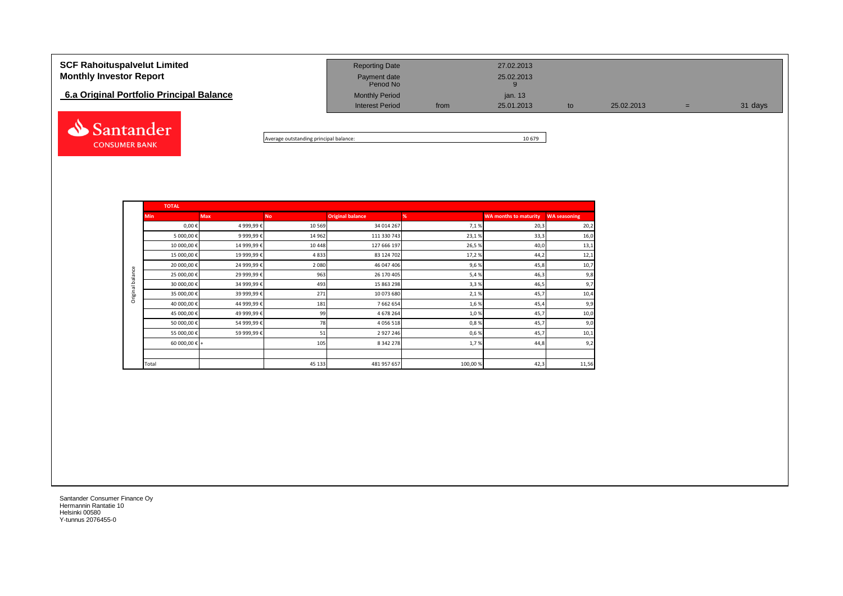| <b>SCF Rahoituspalvelut Limited</b><br><b>Monthly Investor Report</b> | <b>Reporting Date</b><br>Payment date<br>Period No |      | 27.02.2013<br>25.02.2013 |    |            |   |         |
|-----------------------------------------------------------------------|----------------------------------------------------|------|--------------------------|----|------------|---|---------|
| 6.a Original Portfolio Principal Balance                              | <b>Monthly Period</b><br><b>Interest Period</b>    | from | jan. 13<br>25.01.2013    | to | 25.02.2013 | = | 31 days |
|                                                                       |                                                    |      |                          |    |            |   |         |

Average outstanding principal balance: 10 679

|                  | <b>TOTAL</b>           |            |           |                         |         |                              |                     |
|------------------|------------------------|------------|-----------|-------------------------|---------|------------------------------|---------------------|
|                  | <b>Min</b>             | <b>Max</b> | <b>No</b> | <b>Original balance</b> | %       | <b>WA months to maturity</b> | <b>WA seasoning</b> |
|                  | $0,00 \in$             | 4 999,99€  | 10 5 69   | 34 014 267              | 7,1%    | 20,3                         | 20,2                |
|                  | 5 000,00 €             | 9 999,99€  | 14 962    | 111 330 743             | 23,1%   | 33,3                         | 16,0                |
|                  | 10 000,00 €            | 14 999,99€ | 10 4 48   | 127 666 197             | 26,5%   | 40,0                         | 13,1                |
|                  | 15 000,00€             | 19 999,99€ | 4833      | 83 124 702              | 17,2%   | 44,2                         | 12,1                |
|                  | 20 000,00€             | 24 999,99€ | 2 0 8 0   | 46 047 406              | 9,6%    | 45,8                         | 10,7                |
| Original balance | 25 000,00€             | 29 999,99€ | 963       | 26 170 405              | 5,4%    | 46,3                         | 9,8                 |
|                  | 30 000,00 €            | 34 999,99€ | 493       | 15 863 298              | 3,3%    | 46,5                         | 9,7                 |
|                  | 35 000,00 €            | 39 999,99€ | 271       | 10 073 680              | 2,1%    | 45,7                         | 10,4                |
|                  | 40 000,00€             | 44 999,99€ | 181       | 7 662 654               | 1,6%    | 45,4                         | 9,9                 |
|                  | 45 000,00 €            | 49 999,99€ | 99        | 4 678 264               | 1,0%    | 45,7                         | 10,0                |
|                  | 50 000,00 €            | 54 999,99€ | 78        | 4 0 5 6 5 1 8           | 0,8%    | 45,7                         | 9,0                 |
|                  | 55 000,00 €            | 59 999,99€ | 51        | 2 9 2 7 2 4 6           | 0,6%    | 45,7                         | 10,1                |
|                  | 60 000,00 $\epsilon$ + |            | 105       | 8 3 4 2 2 7 8           | 1,7%    | 44,8                         | 9,2                 |
|                  |                        |            |           |                         |         |                              |                     |
|                  | Total                  |            | 45 133    | 481 957 657             | 100,00% | 42,3                         | 11,56               |

Santander Consumer Finance Oy Hermannin Rantatie 10 Helsinki 00580 Y-tunnus 2076455-0

**CONSUMER BANK**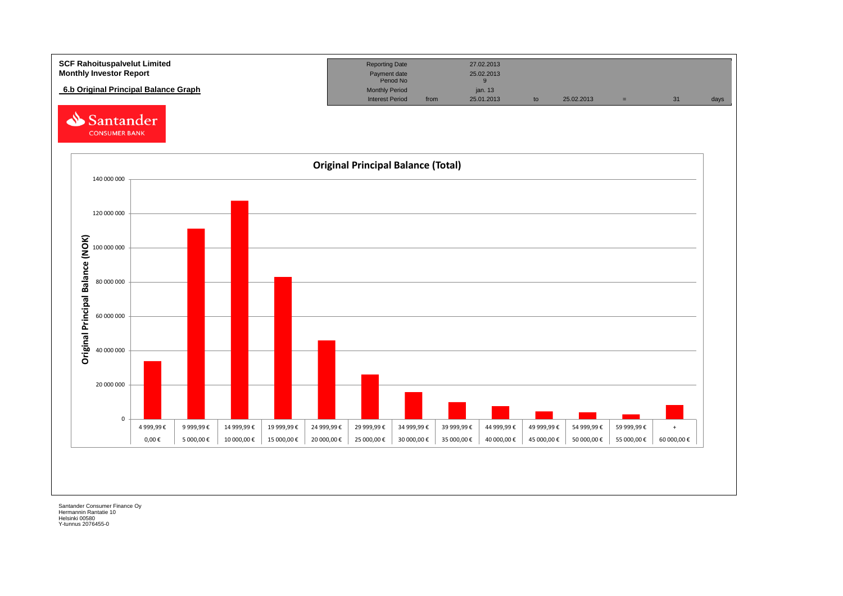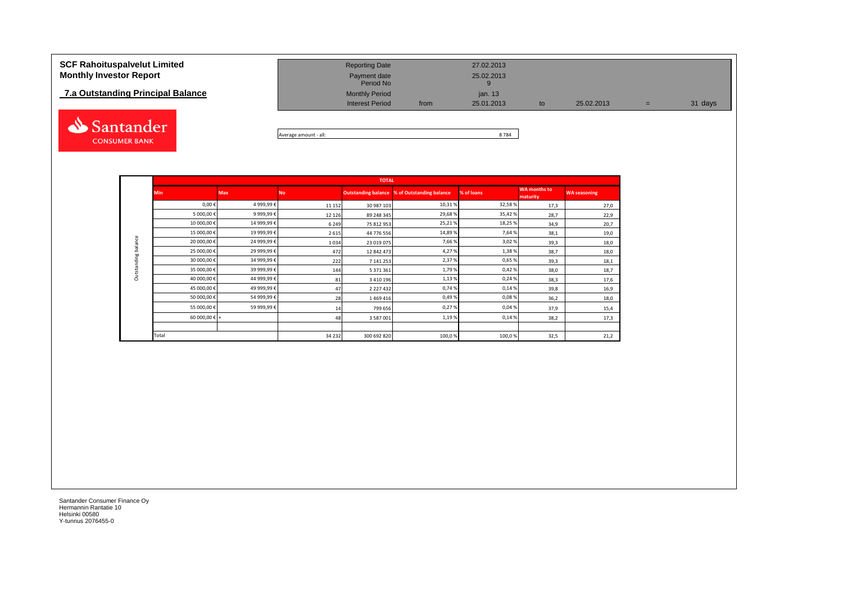# **7.a Outstanding Principal Balance**



| <b>SCF Rahoituspalvelut Limited</b><br><b>Monthly Investor Report</b> | <b>Reporting Date</b><br>Payment date<br>Period No |      | 27.02.2013<br>25.02.2013 |     |            |     |         |
|-----------------------------------------------------------------------|----------------------------------------------------|------|--------------------------|-----|------------|-----|---------|
| 7.a Outstanding Principal Balance                                     | <b>Monthly Period</b>                              |      | jan. 13                  |     |            |     |         |
|                                                                       | <b>Interest Period</b>                             | from | 25.01.2013               | to. | 25.02.2013 | $=$ | 31 days |
|                                                                       |                                                    |      |                          |     |            |     |         |

Average amount - all: 8 784

|                     |                        |            |           | <b>TOTAL</b>  |                                                     |            |                          |                     |
|---------------------|------------------------|------------|-----------|---------------|-----------------------------------------------------|------------|--------------------------|---------------------|
|                     | <b>Min</b>             | <b>Max</b> | <b>No</b> |               | <b>Outstanding balance % of Outstanding balance</b> | % of loans | WA months to<br>maturity | <b>WA seasoning</b> |
|                     | $0,00 \in$             | 4 999,99€  | 11 152    | 30 987 103    | 10,31%                                              | 32,58%     | 17,3                     | 27,0                |
|                     | 5 000,00€              | 9 999,99€  | 12 1 2 6  | 89 248 345    | 29,68%                                              | 35,42%     | 28,7                     | 22,9                |
|                     | 10 000,00€             | 14 999,99€ | 6 2 4 9   | 75 812 953    | 25,21%                                              | 18,25%     | 34,9                     | 20,7                |
|                     | 15 000,00€             | 19 999,99€ | 2615      | 44 776 556    | 14,89 %                                             | 7,64%      | 38,1                     | 19,0                |
| Outstanding balance | 20 000,00€             | 24 999,99€ | 1034      | 23 019 075    | 7,66%                                               | 3,02%      | 39,3                     | 18,0                |
|                     | 25 000,00€             | 29 999,99€ | 472       | 12 842 473    | 4,27%                                               | 1,38%      | 38,7                     | 18,0                |
|                     | 30 000,00€             | 34 999,99€ | 222       | 7 141 253     | 2,37%                                               | 0,65%      | 39,3                     | 18,1                |
|                     | 35 000,00€             | 39 999,99€ | 144       | 5 371 361     | 1,79%                                               | 0,42%      | 38,0                     | 18,7                |
|                     | 40 000,00€             | 44 999,99€ | 81        | 3 4 10 19 6   | 1,13%                                               | 0,24%      | 38,3                     | 17,6                |
|                     | 45 000,00€             | 49 999,99€ | 47        | 2 2 2 7 4 3 2 | 0,74%                                               | 0,14%      | 39,8                     | 16,9                |
|                     | 50 000,00€             | 54 999,99€ | 28        | 1469416       | 0,49%                                               | 0,08%      | 36,2                     | 18,0                |
|                     | 55 000,00€             | 59 999,99€ | 14        | 799 656       | 0,27%                                               | 0,04%      | 37,9                     | 15,4                |
|                     | 60 000,00 $\epsilon$ + |            | 48        | 3 587 001     | 1,19%                                               | 0,14%      | 38,2                     | 17,3                |
|                     |                        |            |           |               |                                                     |            |                          |                     |
|                     | Total                  |            | 34 2 32   | 300 692 820   | 100,0%                                              | 100,0%     | 32,5                     | 21,2                |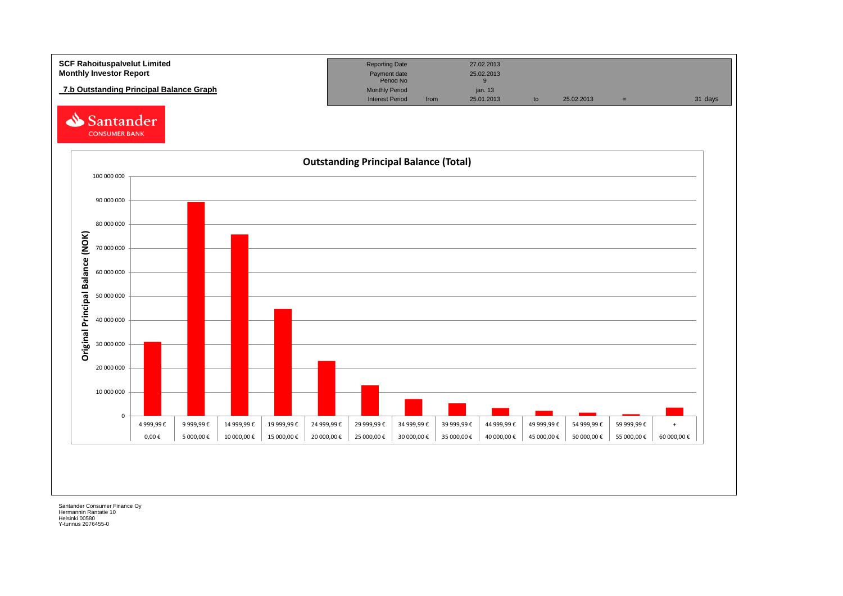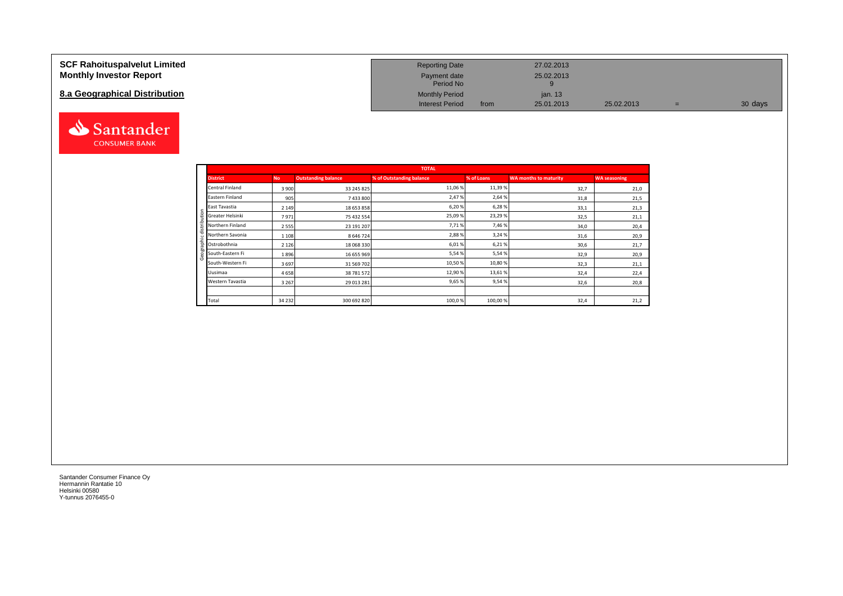### **SCF Rahoituspalvelut Limited Monthly Investor Report**

# **8.a Geographical Distribution**



| <b>Reporting Date</b>     |      | 27.02.2013 |            |   |         |
|---------------------------|------|------------|------------|---|---------|
| Payment date<br>Period No |      | 25.02.2013 |            |   |         |
| <b>Monthly Period</b>     |      | jan. 13    |            |   |         |
| <b>Interest Period</b>    | from | 25.01.2013 | 25.02.2013 | = | 30 days |

|                            |           |                            | <b>TOTAL</b>             |            |                              |                     |
|----------------------------|-----------|----------------------------|--------------------------|------------|------------------------------|---------------------|
| <b>District</b>            | <b>No</b> | <b>Outstanding balance</b> | % of Outstanding balance | % of Loans | <b>WA months to maturity</b> | <b>WA seasoning</b> |
| Central Finland            | 3 9 0 0   | 33 245 825                 | 11,06 %                  | 11,39%     | 32,7                         | 21,0                |
| Eastern Finland            | 905       | 7 433 800                  | 2,47%                    | 2,64 %     | 31,8                         | 21,5                |
| East Tavastia              | 2 1 4 9   | 18 653 858                 | 6,20%                    | 6,28%      | 33,1                         | 21,3                |
| Greater Helsinki           | 7971      | 75 432 554                 | 25,09%                   | 23,29%     | 32,5                         | 21,1                |
| Northern Finland           | 2 5 5 5   | 23 191 207                 | 7,71%                    | 7,46%      | 34,0                         | 20,4                |
| Northern Savonia           | 1 1 0 8   | 8 6 4 6 7 2 4              | 2,88%                    | 3,24 %     | 31,6                         | 20,9                |
| $\frac{2}{5}$ Ostrobothnia | 2 1 2 6   | 18 068 330                 | 6,01%                    | 6,21%      | 30,6                         | 21,7                |
| South-Eastern Fi           | 1896      | 16 655 969                 | 5,54%                    | 5,54 %     | 32,9                         | 20,9                |
| South-Western Fi           | 3697      | 31 569 702                 | 10,50%                   | 10,80%     | 32,3                         | 21,1                |
| Uusimaa                    | 4658      | 38 781 572                 | 12,90%                   | 13,61%     | 32,4                         | 22,4                |
| Western Tavastia           | 3 2 6 7   | 29 013 281                 | 9,65 %                   | 9,54%      | 32,6                         | 20,8                |
|                            |           |                            |                          |            |                              |                     |
| Total                      | 34 2 32   | 300 692 820                | 100,0%                   | 100,00%    | 32,4                         | 21,2                |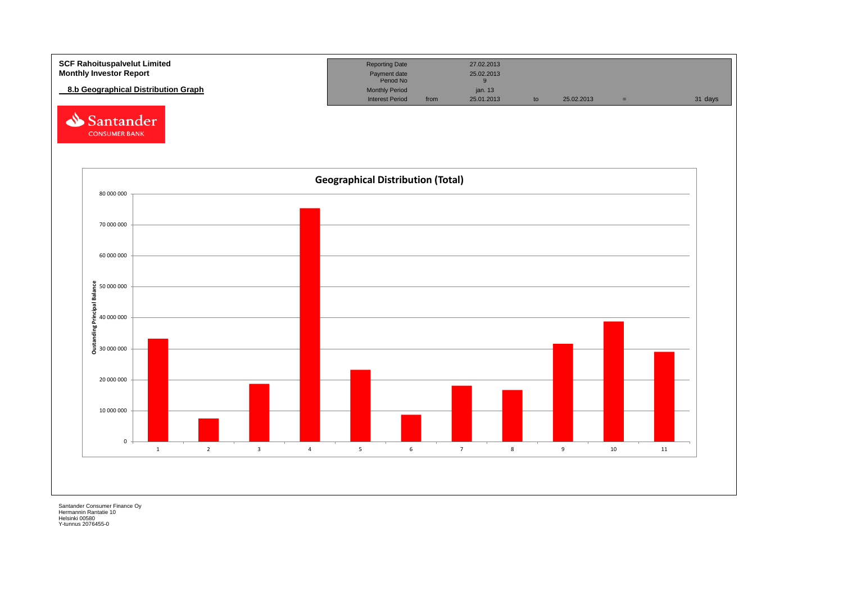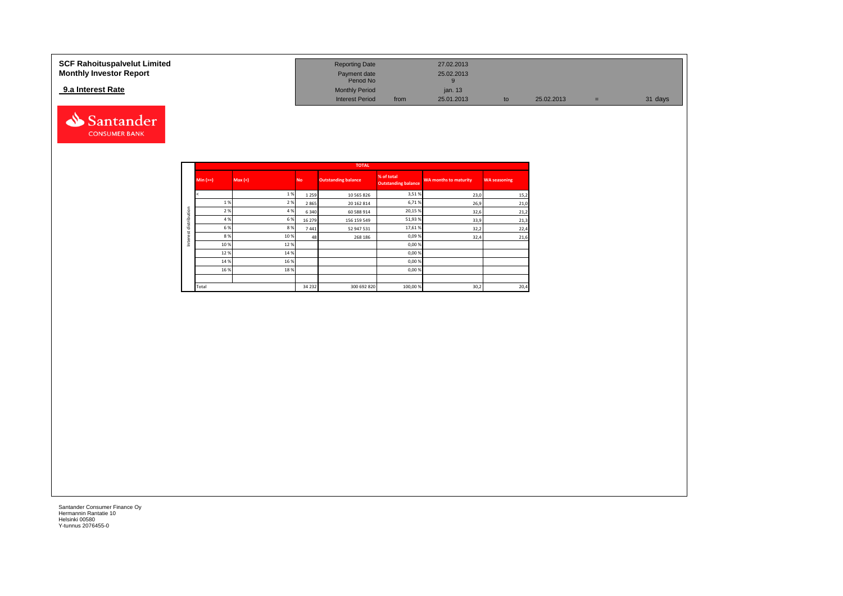#### **SCF Rahoituspalvelut Limited Reporting Date 27.02.2013 Reporting Date 27.02.2013 Monthly Investor Report Payment date** 25.02.2013 Payment date<br>
Period No 9<br>
9 **9.a Interest Rate 12.13 12.13 12.13 12.13 12.13 12.13 12.13 12.13 12.13 12.1313 12.143 12.143 12.143 12.143 12.143 12.143 12.143 12.143 12.143 12.143** Interest Period from 25.01.2013 to 25.02.2013 = 31 days



|              |          |         |           | <b>TOTAL</b>               |                                          |                              |                     |
|--------------|----------|---------|-----------|----------------------------|------------------------------------------|------------------------------|---------------------|
|              | $Min (=$ | Max (<) | <b>No</b> | <b>Outstanding balance</b> | % of total<br><b>Outstanding balance</b> | <b>WA months to maturity</b> | <b>WA seasoning</b> |
|              |          | 1%      | 1 2 5 9   | 10 565 826                 | 3,51%                                    | 23,0                         | 15,2                |
|              | 1%       | 2%      | 2865      | 20 162 814                 | 6,71%                                    | 26,9                         | 21,0                |
| distribution | 2%       | 4 %     | 6 3 4 0   | 60 588 914                 | 20,15 %                                  | 32,6                         | 21,2                |
|              | 4 %      | 6%      | 16 279    | 156 159 549                | 51,93%                                   | 33,9                         | 21,3                |
|              | 6 %      | 8%      | 7441      | 52 947 531                 | 17,61%                                   | 32,2                         | 22,4                |
| Interest     | 8%       | 10 %    | 48        | 268 186                    | 0,09%                                    | 32,4                         | 21,6                |
|              | 10 %     | 12%     |           |                            | 0,00%                                    |                              |                     |
|              | 12%      | 14 %    |           |                            | 0,00%                                    |                              |                     |
|              | 14 %     | 16 %    |           |                            | 0,00%                                    |                              |                     |
|              | 16 %     | 18%     |           |                            | 0,00%                                    |                              |                     |
|              |          |         |           |                            |                                          |                              |                     |
|              | Total    |         | 34 2 32   | 300 692 820                | 100,00%                                  | 30,2                         | 20,4                |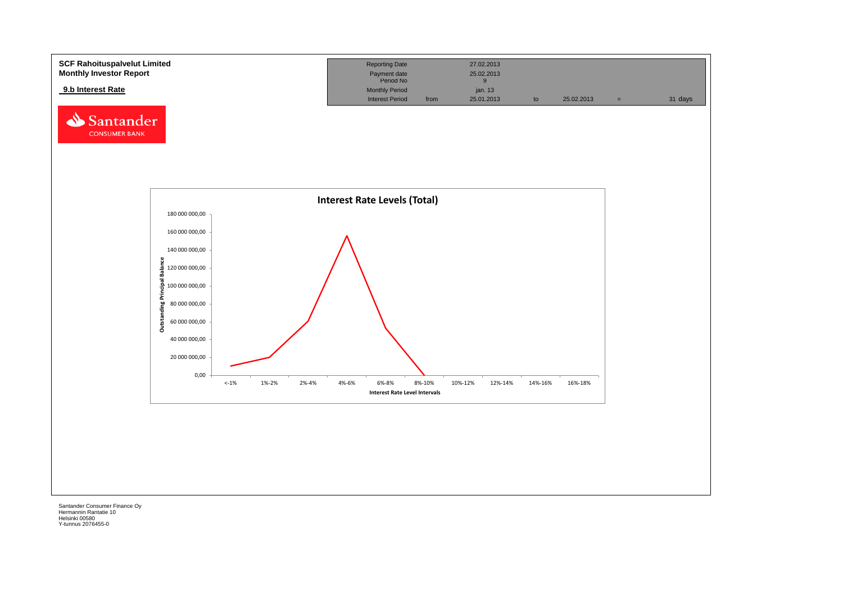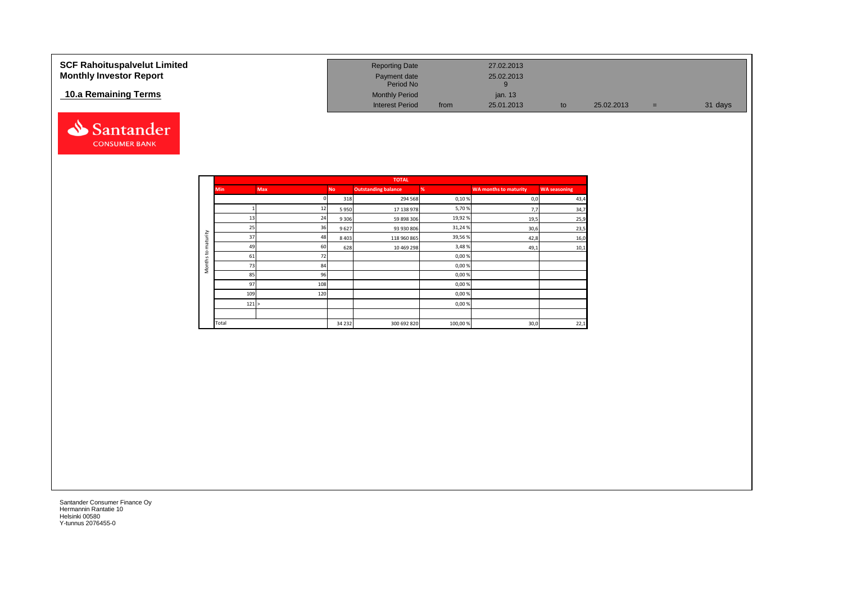| <b>SCF Rahoituspalvelut Limited</b><br><b>Monthly Investor Report</b> | <b>Reporting Date</b><br>Payment date<br>Period No |      | 27.02.2013<br>25.02.2013 |    |            |     |         |
|-----------------------------------------------------------------------|----------------------------------------------------|------|--------------------------|----|------------|-----|---------|
| 10.a Remaining Terms                                                  | <b>Monthly Period</b><br><b>Interest Period</b>    | from | ian, 13<br>25.01.2013    | to | 25.02.2013 | $=$ | 31 days |



|                     |            |            |           | <b>TOTAL</b>               |         |                              |                     |
|---------------------|------------|------------|-----------|----------------------------|---------|------------------------------|---------------------|
|                     | <b>Min</b> | <b>Max</b> | <b>No</b> | <b>Outstanding balance</b> | %       | <b>WA months to maturity</b> | <b>WA seasoning</b> |
|                     |            |            | 318       | 294 568                    | 0,10%   | 0,0                          | 43,4                |
|                     |            | 12         | 5950      | 17 138 978                 | 5,70%   | 7,7                          | 34,7                |
|                     | 13         | 24         | 9 3 0 6   | 59 898 306                 | 19,92%  | 19,5                         | 25,9                |
|                     | 25         | 36         | 9627      | 93 930 806                 | 31,24%  | 30,6                         | 23,5                |
| maturity            | 37         | 48         | 8 4 0 3   | 118 960 865                | 39,56%  | 42,8                         | 16,0                |
|                     | 49         | 60         | 628       | 10 469 298                 | 3,48%   | 49,1                         | 10,1                |
| 5                   | 61         | 72         |           |                            | 0,00%   |                              |                     |
| Months <sup>-</sup> | 73         | 84         |           |                            | 0,00%   |                              |                     |
|                     | 85         | 96         |           |                            | 0,00%   |                              |                     |
|                     | 97         | 108        |           |                            | 0,00%   |                              |                     |
|                     | 109        | 120        |           |                            | 0,00%   |                              |                     |
|                     | 121 >      |            |           |                            | 0,00%   |                              |                     |
|                     |            |            |           |                            |         |                              |                     |
|                     | Total      |            | 34 2 32   | 300 692 820                | 100,00% | 30,0                         | 22,1                |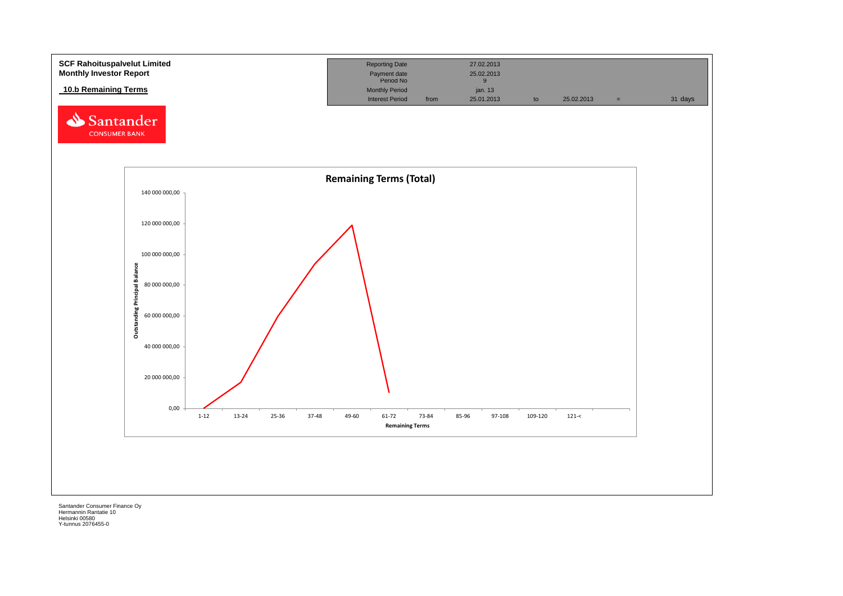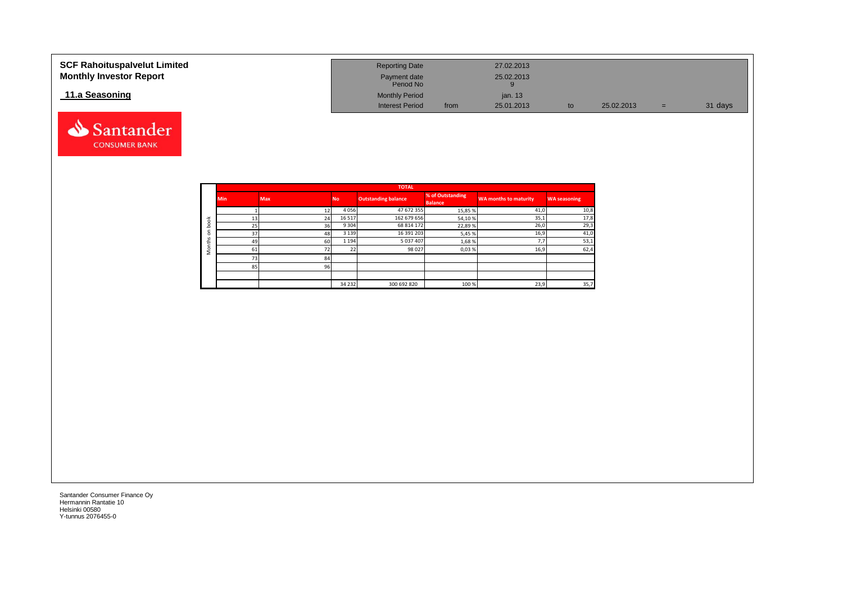| <b>SCF Rahoituspalvelut Limited</b><br><b>Monthly Investor Report</b> | <b>Reporting Date</b><br>Payment date<br>Period No |      | 27.02.2013<br>25.02.2013 |    |            |     |         |
|-----------------------------------------------------------------------|----------------------------------------------------|------|--------------------------|----|------------|-----|---------|
| 11.a Seasoning                                                        | <b>Monthly Period</b><br><b>Interest Period</b>    | from | jan. 13<br>25.01.2013    | to | 25.02.2013 | $=$ | 31 days |

|         |            |            |           | <b>TOTAL</b>               |                                    |                       |                     |
|---------|------------|------------|-----------|----------------------------|------------------------------------|-----------------------|---------------------|
|         | <b>Min</b> | <b>Max</b> | <b>No</b> | <b>Outstanding balance</b> | % of Outstanding<br><b>Balance</b> | WA months to maturity | <b>WA seasoning</b> |
|         |            |            | 4056      | 47 672 355                 | 15,85 %                            | 41,0                  | 10,8                |
| 老       | 13         | 24         | 16 5 17   | 162 679 656                | 54,10%                             | 35,1                  | 17,8                |
| C<br>-O | 25         | 36         | 9 3 0 4   | 68 814 172                 | 22,89%                             | 26,0                  | 29,3                |
| v       | 37         | 48         | 3 1 3 9   | 16 391 203                 | 5,45 %                             | 16,9                  | 41,0                |
|         | 49         | 60         | 1 1 9 4   | 5 037 407                  | 1,68%                              | 7.7                   | 53,1                |
| c<br>Σ  | 61         |            | າາ<br>22  | 98 0 27                    | 0,03%                              | 16,9                  | 62,4                |
|         | 73         | 84         |           |                            |                                    |                       |                     |
|         | 85         | 96         |           |                            |                                    |                       |                     |
|         |            |            |           |                            |                                    |                       |                     |
|         |            |            | 34 2 32   | 300 692 820                | 100 %                              | 23,9                  | 35,7                |

Santander **CONSUMER BANK**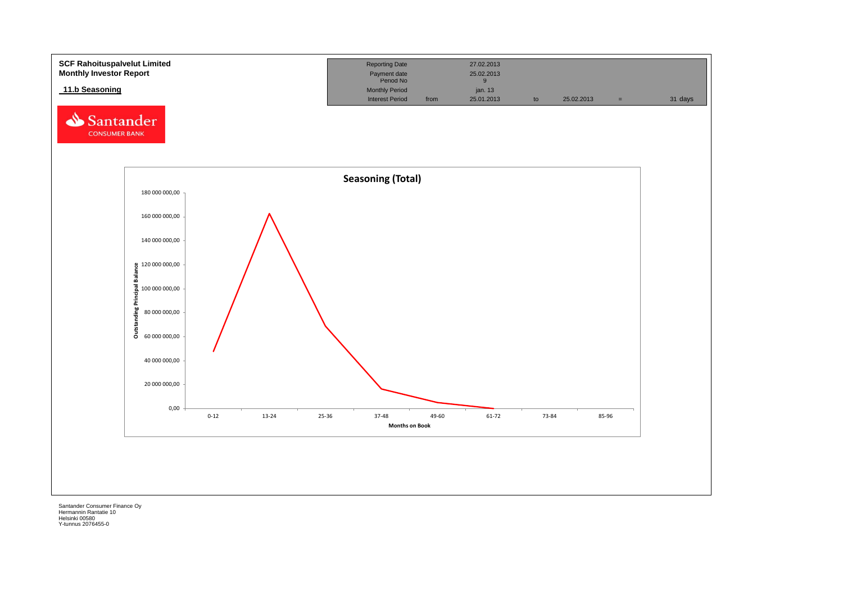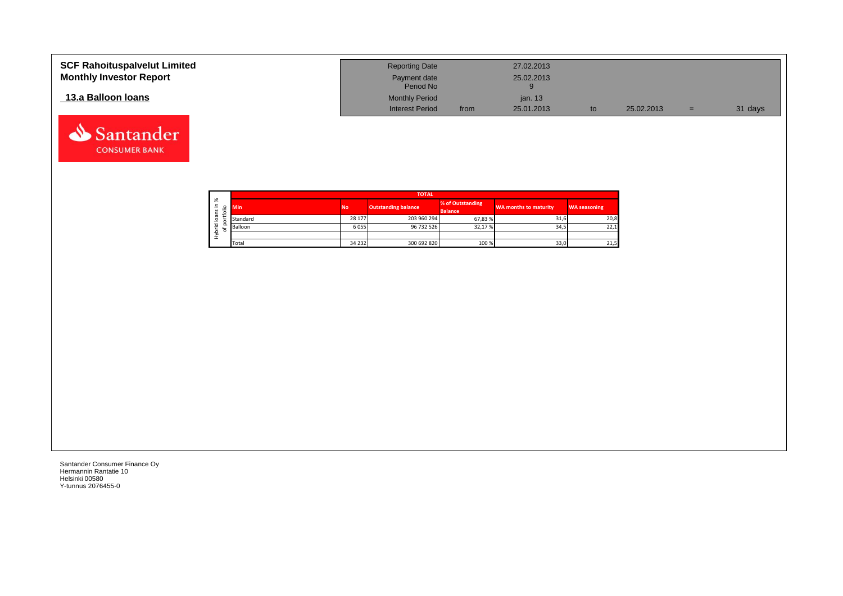| <b>SCF Rahoituspalvelut Limited</b><br><b>Monthly Investor Report</b> | <b>Reporting Date</b><br>Payment date<br>Period No |      | 27.02.2013<br>25.02.2013 |            |     |         |
|-----------------------------------------------------------------------|----------------------------------------------------|------|--------------------------|------------|-----|---------|
| 13.a Balloon Ioans                                                    | <b>Monthly Period</b>                              |      | jan. 13                  |            |     |         |
|                                                                       | <b>Interest Period</b>                             | from | 25.01.2013               | 25.02.2013 | $=$ | 31 days |



Santander **CONSUMER BANK**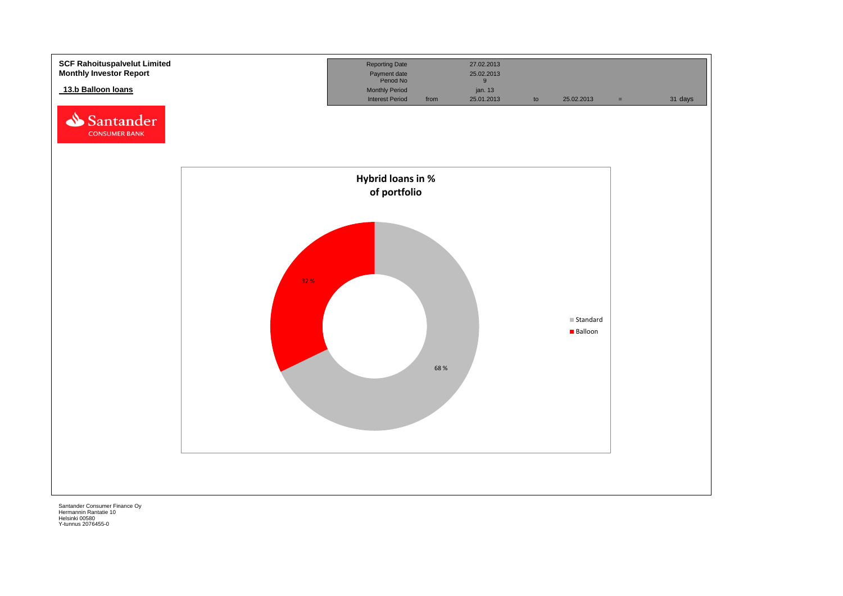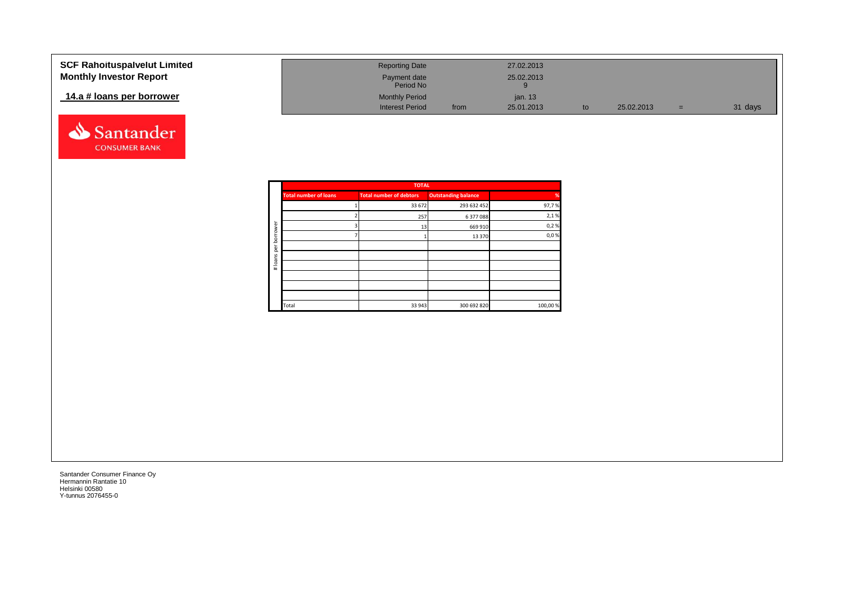| <b>SCF Rahoituspalvelut Limited</b> | <b>Reporting Date</b>     |      | 27.02.2013 |            |     |         |
|-------------------------------------|---------------------------|------|------------|------------|-----|---------|
| <b>Monthly Investor Report</b>      | Payment date<br>Period No |      | 25.02.2013 |            |     |         |
| 14.a # loans per borrower           | <b>Monthly Period</b>     |      | jan. $13$  |            |     |         |
|                                     | <b>Interest Period</b>    | from | 25.01.2013 | 25.02.2013 | $=$ | 31 days |



|          |                              | <b>TOTAL</b>                   |                            |          |
|----------|------------------------------|--------------------------------|----------------------------|----------|
|          | <b>Total number of loans</b> | <b>Total number of debtors</b> | <b>Outstanding balance</b> | %        |
|          |                              | 33 672                         | 293 632 452                | 97,7%    |
|          |                              | 257                            | 6 377 088                  | 2,1%     |
| ৯<br>row |                              | 13                             | 669 910                    | 0,2%     |
| bor      |                              |                                | 13 370                     | 0,0%     |
| per      |                              |                                |                            |          |
|          |                              |                                |                            |          |
| #loans   |                              |                                |                            |          |
|          |                              |                                |                            |          |
|          |                              |                                |                            |          |
|          |                              |                                |                            |          |
|          | Total                        | 33 943                         | 300 692 820                | 100,00 % |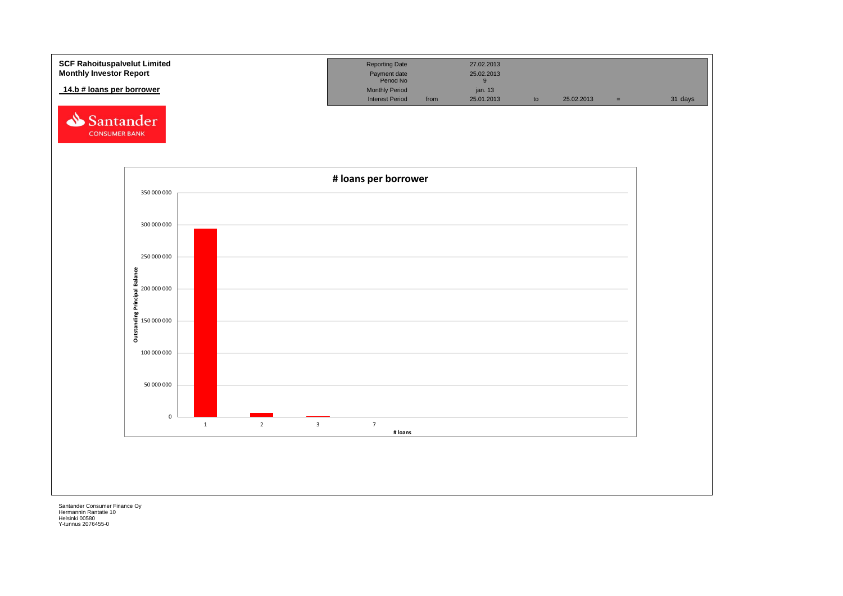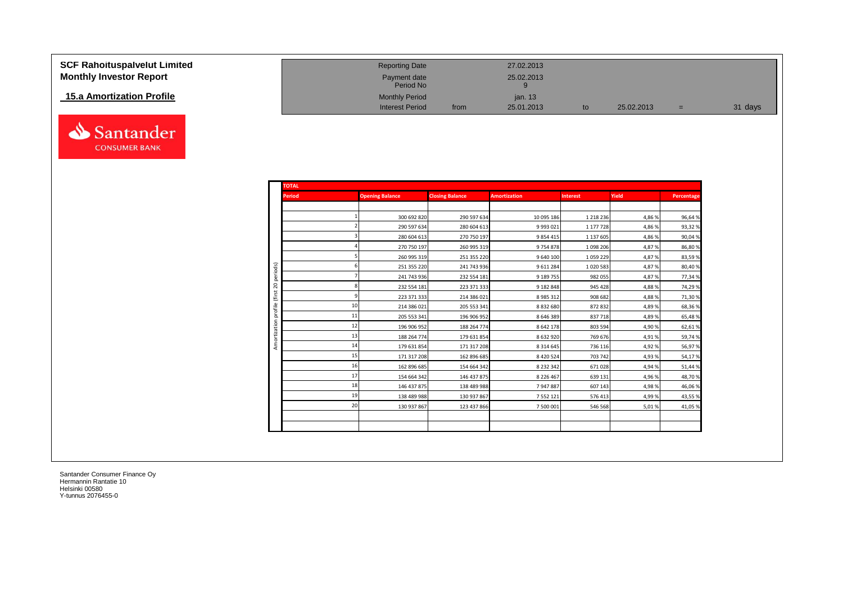| <b>SCF Rahoituspalvelut Limited</b> | <b>Reporting Date</b>     |      | 27.02.2013 |            |     |         |
|-------------------------------------|---------------------------|------|------------|------------|-----|---------|
| <b>Monthly Investor Report</b>      | Payment date<br>Period No |      | 25.02.2013 |            |     |         |
| 15.a Amortization Profile           | <b>Monthly Period</b>     |      | jan. 13    |            |     |         |
|                                     | <b>Interest Period</b>    | from | 25.01.2013 | 25.02.2013 | $=$ | 31 days |



|         | <b>TOTAL</b>  |                        |                        |                     |                 |        |            |  |  |
|---------|---------------|------------------------|------------------------|---------------------|-----------------|--------|------------|--|--|
|         | <b>Period</b> | <b>Opening Balance</b> | <b>Closing Balance</b> | <b>Amortization</b> | <b>Interest</b> | Yield  | Percentage |  |  |
|         |               |                        |                        |                     |                 |        |            |  |  |
|         |               | 300 692 820            | 290 597 634            | 10 095 186          | 1 2 1 8 2 3 6   | 4,86%  | 96,64%     |  |  |
|         |               | 290 597 634            | 280 604 613            | 9 9 9 3 0 2 1       | 1 177 728       | 4,86 % | 93,32%     |  |  |
|         |               | 280 604 613            | 270 750 197            | 9854415             | 1 137 605       | 4,86 % | 90,04%     |  |  |
|         |               | 270 750 197            | 260 995 319            | 9754878             | 1 0 98 206      | 4,87%  | 86,80%     |  |  |
|         |               | 260 995 319            | 251 355 220            | 9 640 100           | 1059229         | 4,87%  | 83,59%     |  |  |
|         |               | 251 355 220            | 241 743 936            | 9611284             | 1020583         | 4,87%  | 80,40%     |  |  |
|         |               | 241 743 936            | 232 554 181            | 9 189 755           | 982 055         | 4,87%  | 77,34%     |  |  |
|         |               | 232 554 181            | 223 371 333            | 9 182 848           | 945 428         | 4,88%  | 74,29%     |  |  |
| profile |               | 223 371 333            | 214 386 021            | 8 9 8 5 3 1 2       | 908 682         | 4,88%  | 71,30%     |  |  |
|         | 10            | 214 386 021            | 205 553 341            | 8832680             | 872 832         | 4,89%  | 68,36%     |  |  |
|         | 11            | 205 553 341            | 196 906 952            | 8 6 4 6 3 8 9       | 837 718         | 4,89%  | 65,48%     |  |  |
|         | 12            | 196 906 952            | 188 264 774            | 8 642 178           | 803 594         | 4,90%  | 62,61%     |  |  |
|         | 13            | 188 264 774            | 179 631 854            | 8632920             | 769 676         | 4,91%  | 59,74%     |  |  |
|         | 14            | 179 631 854            | 171 317 208            | 8 3 1 4 6 4 5       | 736 116         | 4,92%  | 56,97%     |  |  |
|         | 15            | 171 317 208            | 162 896 685            | 8 4 2 0 5 2 4       | 703 742         | 4,93%  | 54,17%     |  |  |
|         | 16            | 162 896 685            | 154 664 342            | 8 2 3 2 3 4 2       | 671 028         | 4,94%  | 51,44%     |  |  |
|         | 17            | 154 664 342            | 146 437 875            | 8 2 2 6 4 6 7       | 639 131         | 4,96 % | 48,70%     |  |  |
|         | 18            | 146 437 875            | 138 489 988            | 7947887             | 607 143         | 4,98%  | 46,06%     |  |  |
|         | 19            | 138 489 988            | 130 937 867            | 7 5 5 2 1 2 1       | 576 413         | 4,99%  | 43,55%     |  |  |
|         | 20            | 130 937 867            | 123 437 866            | 7 500 001           | 546 568         | 5,01%  | 41,05%     |  |  |
|         |               |                        |                        |                     |                 |        |            |  |  |
|         |               |                        |                        |                     |                 |        |            |  |  |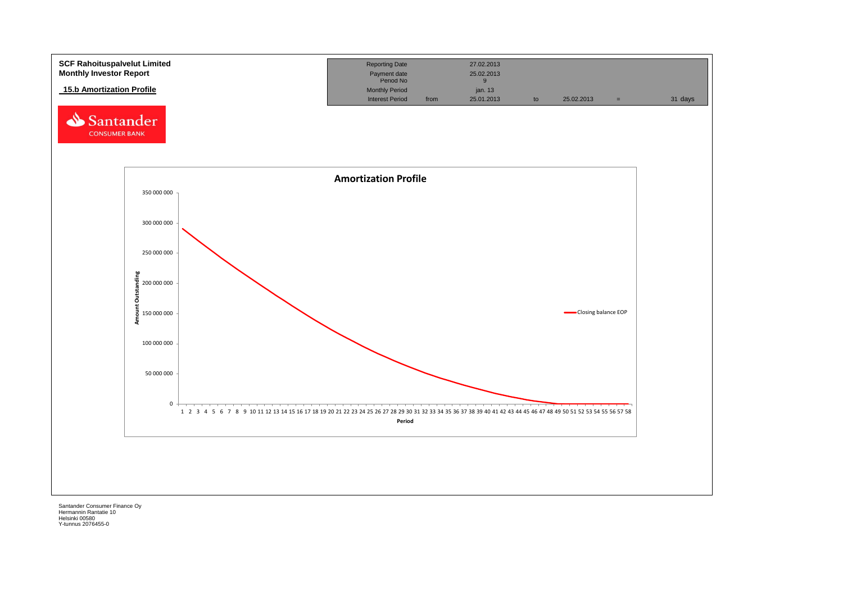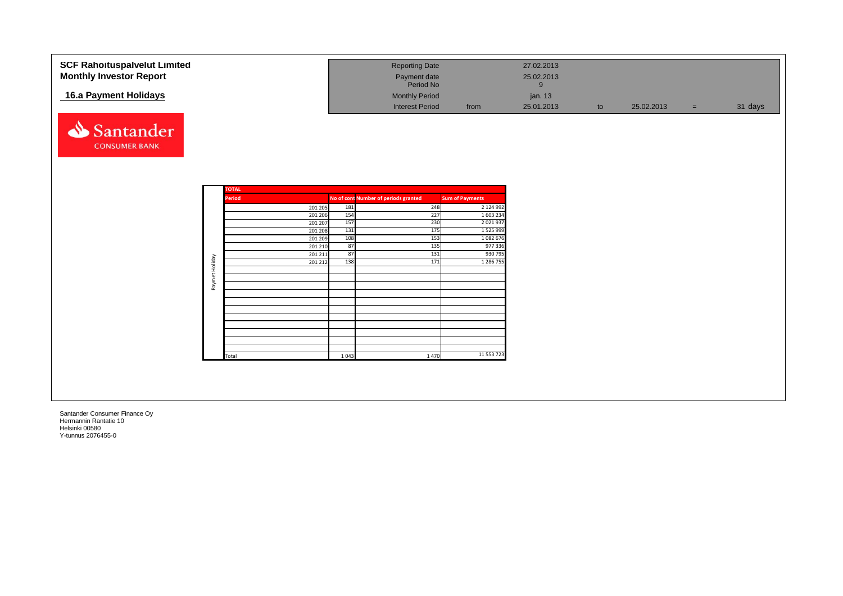| 16.a Payment Holidays             |                               |           | <b>Reporting Date</b><br>Payment date<br>Period No<br><b>Monthly Period</b> |                        | 27.02.2013<br>25.02.2013<br>9<br>jan. 13 |    |            |     |         |
|-----------------------------------|-------------------------------|-----------|-----------------------------------------------------------------------------|------------------------|------------------------------------------|----|------------|-----|---------|
|                                   |                               |           | <b>Interest Period</b>                                                      | from                   | 25.01.2013                               | to | 25.02.2013 | $=$ | 31 days |
| Santander<br><b>CONSUMER BANK</b> |                               |           |                                                                             |                        |                                          |    |            |     |         |
|                                   |                               |           |                                                                             |                        |                                          |    |            |     |         |
|                                   | <b>TOTAL</b><br><b>Period</b> |           | No of cont Number of periods granted                                        | <b>Sum of Payments</b> |                                          |    |            |     |         |
|                                   | 201 205                       | 181       | 248                                                                         | 2 124 992              |                                          |    |            |     |         |
|                                   | 201 206                       | 154       | 227                                                                         | 1 603 234              |                                          |    |            |     |         |
|                                   | 201 207                       | 157       | 230                                                                         | 2 0 2 1 9 3 7          |                                          |    |            |     |         |
|                                   | $\overline{201}$ 208          | 131       | 175                                                                         | 1 5 2 5 9 9 9          |                                          |    |            |     |         |
|                                   | 201 209                       | 108       | 153                                                                         | 1 0 8 2 6 7 6          |                                          |    |            |     |         |
|                                   | 201 210                       | 87        | 135                                                                         | 977 336                |                                          |    |            |     |         |
|                                   | 201 211<br>201 212            | 87<br>138 | 131<br>171                                                                  | 930 795<br>1 286 755   |                                          |    |            |     |         |
| Paymet Holiday                    |                               |           |                                                                             |                        |                                          |    |            |     |         |
|                                   |                               |           |                                                                             |                        |                                          |    |            |     |         |
|                                   |                               |           |                                                                             |                        |                                          |    |            |     |         |
|                                   |                               |           |                                                                             |                        |                                          |    |            |     |         |
|                                   |                               |           |                                                                             |                        |                                          |    |            |     |         |
|                                   |                               |           |                                                                             |                        |                                          |    |            |     |         |
|                                   |                               |           |                                                                             |                        |                                          |    |            |     |         |
|                                   |                               |           |                                                                             |                        |                                          |    |            |     |         |
|                                   |                               |           |                                                                             |                        |                                          |    |            |     |         |
|                                   |                               |           |                                                                             |                        |                                          |    |            |     |         |
|                                   | Total                         | 1043      | 1470                                                                        | 11 553 723             |                                          |    |            |     |         |
|                                   |                               |           |                                                                             |                        |                                          |    |            |     |         |
|                                   |                               |           |                                                                             |                        |                                          |    |            |     |         |
|                                   |                               |           |                                                                             |                        |                                          |    |            |     |         |
|                                   |                               |           |                                                                             |                        |                                          |    |            |     |         |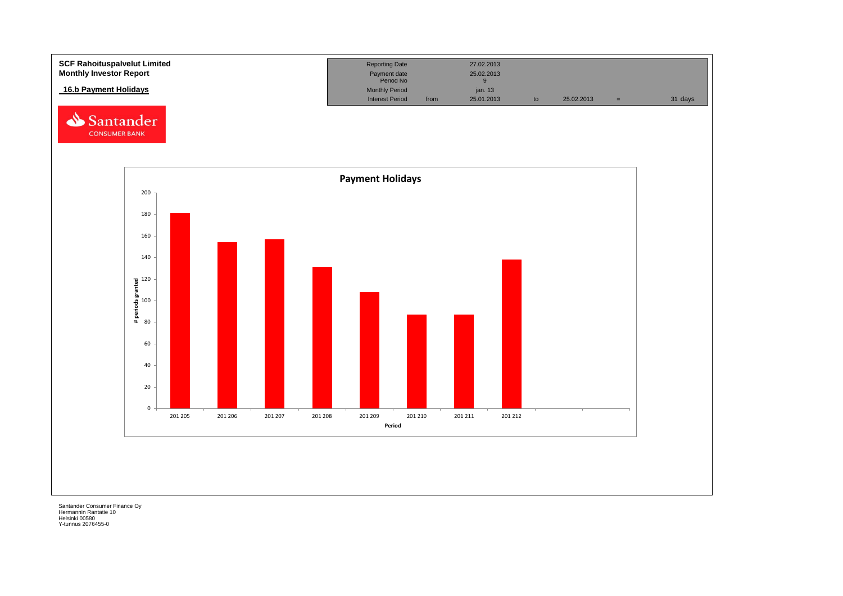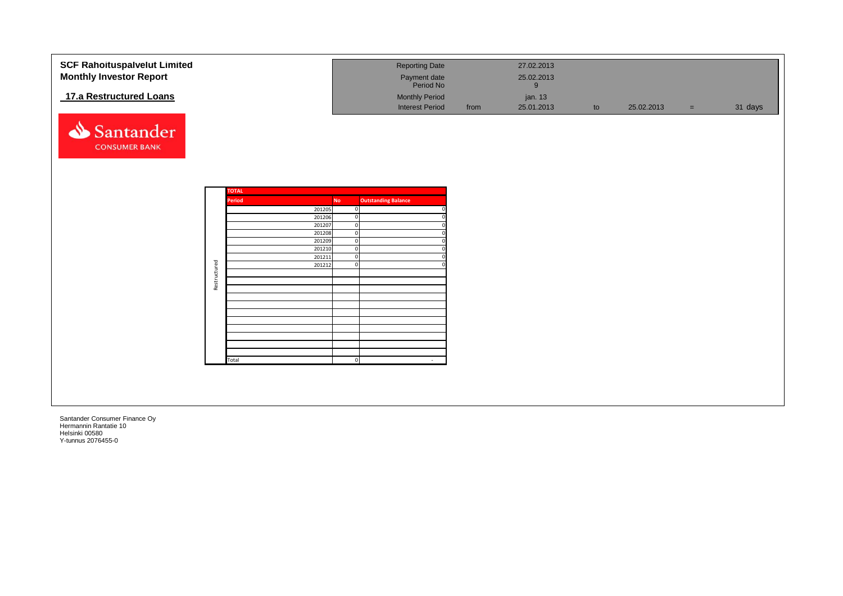| <b>SCF Rahoituspalvelut Limited</b><br><b>Monthly Investor Report</b> |              |              |                  |                            | <b>Reporting Date</b><br>Payment date<br>Period No |      | 27.02.2013<br>25.02.2013   |    |            |     |         |
|-----------------------------------------------------------------------|--------------|--------------|------------------|----------------------------|----------------------------------------------------|------|----------------------------|----|------------|-----|---------|
| 17.a Restructured Loans                                               |              |              |                  |                            | <b>Monthly Period</b><br><b>Interest Period</b>    | from | 9<br>jan. 13<br>25.01.2013 | to | 25.02.2013 | $=$ | 31 days |
| Santander<br><b>CONSUMER BANK</b>                                     |              |              |                  |                            |                                                    |      |                            |    |            |     |         |
|                                                                       |              | <b>TOTAL</b> |                  |                            |                                                    |      |                            |    |            |     |         |
|                                                                       |              | Period       |                  | <b>No</b>                  | <b>Outstanding Balance</b>                         |      |                            |    |            |     |         |
|                                                                       |              |              | 201205<br>201206 | $\Omega$<br>$\Omega$       |                                                    |      |                            |    |            |     |         |
|                                                                       |              |              | 201207           | $\overline{0}$             |                                                    |      |                            |    |            |     |         |
|                                                                       |              |              | 201208           | $\mathbf 0$                |                                                    |      |                            |    |            |     |         |
|                                                                       |              |              | 201209<br>201210 | $\mathbf 0$<br>$\mathbf 0$ |                                                    |      |                            |    |            |     |         |
|                                                                       |              |              | 201211           | $\mathbf 0$                |                                                    |      |                            |    |            |     |         |
|                                                                       |              |              | 201212           | $\Omega$                   |                                                    |      |                            |    |            |     |         |
|                                                                       | Restructured |              |                  |                            |                                                    |      |                            |    |            |     |         |
|                                                                       |              |              |                  |                            |                                                    |      |                            |    |            |     |         |
|                                                                       |              |              |                  |                            |                                                    |      |                            |    |            |     |         |
|                                                                       |              |              |                  |                            |                                                    |      |                            |    |            |     |         |
|                                                                       |              |              |                  |                            |                                                    |      |                            |    |            |     |         |
|                                                                       |              |              |                  |                            |                                                    |      |                            |    |            |     |         |
|                                                                       |              |              |                  |                            |                                                    |      |                            |    |            |     |         |
|                                                                       |              |              |                  |                            |                                                    |      |                            |    |            |     |         |
|                                                                       |              |              |                  |                            |                                                    |      |                            |    |            |     |         |
|                                                                       |              | Total        |                  | $\mathbf 0$                | $\sim$                                             |      |                            |    |            |     |         |
|                                                                       |              |              |                  |                            |                                                    |      |                            |    |            |     |         |
|                                                                       |              |              |                  |                            |                                                    |      |                            |    |            |     |         |
|                                                                       |              |              |                  |                            |                                                    |      |                            |    |            |     |         |
|                                                                       |              |              |                  |                            |                                                    |      |                            |    |            |     |         |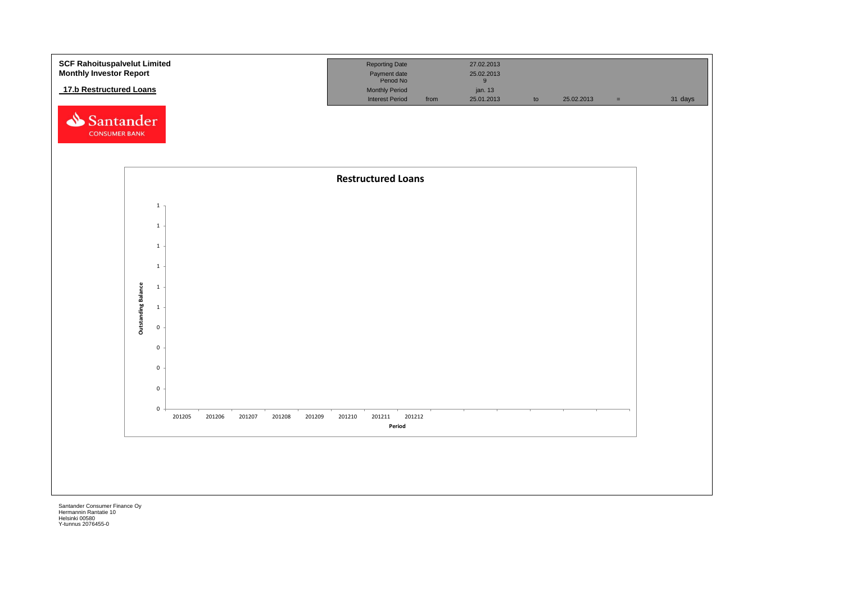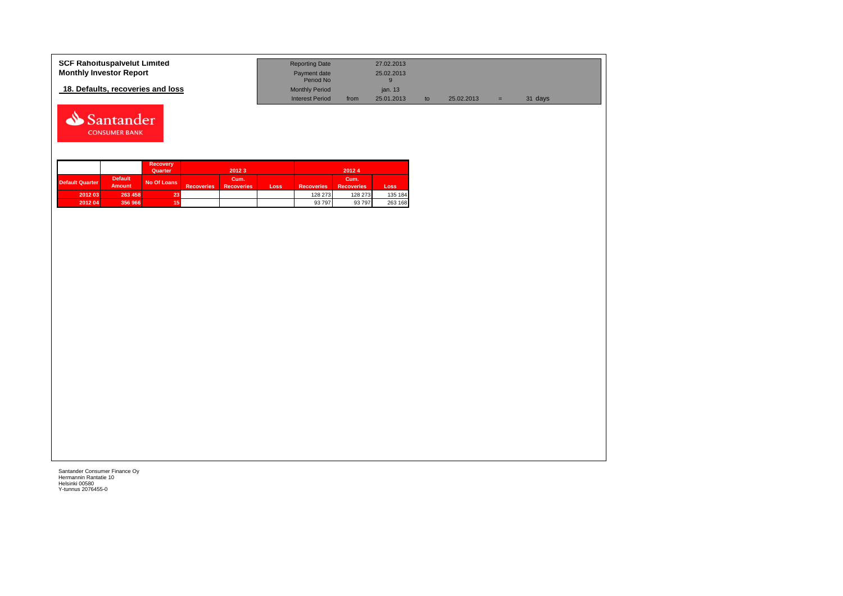| <b>SCF Rahoituspalvelut Limited</b> | <b>Reporting Date</b>     |      | 27.02.2013 |            |   |         |
|-------------------------------------|---------------------------|------|------------|------------|---|---------|
| <b>Monthly Investor Report</b>      | Payment date<br>Period No |      | 25.02.2013 |            |   |         |
| 18. Defaults, recoveries and loss   | <b>Monthly Period</b>     |      | ian, 13    |            |   |         |
|                                     | <b>Interest Period</b>    | from | 25.01.2013 | 25.02.2013 | = | 31 days |



|                        |                                 | <b>Recovery</b><br>Quarter |                   | 2012 3                    |      |                   | 20124                     |         |
|------------------------|---------------------------------|----------------------------|-------------------|---------------------------|------|-------------------|---------------------------|---------|
| <b>Default Quarter</b> | <b>Default</b><br><b>Amount</b> | No Of Loans                | <b>Recoveries</b> | Cum.<br><b>Recoveries</b> | Loss | <b>Recoveries</b> | Cum.<br><b>Recoveries</b> | Loss    |
| 2012 03                | 263 458                         | 23                         |                   |                           |      | 128 273           | 128 273                   | 135 184 |
| 2012 04                | 356 966                         | 15                         |                   |                           |      | 93 797            | 93 797                    | 263 168 |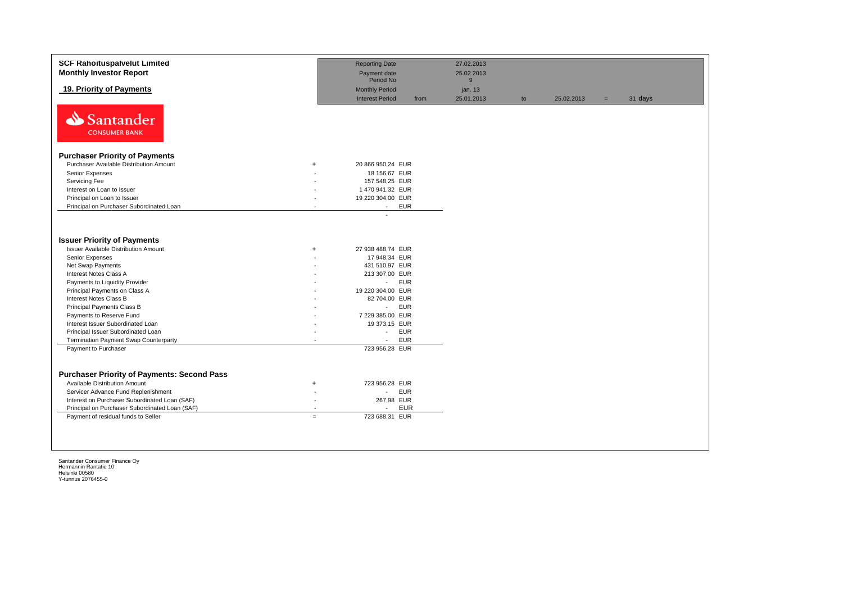| <b>SCF Rahoituspalvelut Limited</b><br><b>Monthly Investor Report</b> |           | <b>Reporting Date</b><br>Payment date           |            | 27.02.2013<br>25.02.2013 |    |            |     |         |
|-----------------------------------------------------------------------|-----------|-------------------------------------------------|------------|--------------------------|----|------------|-----|---------|
|                                                                       |           | Period No                                       |            | 9                        |    |            |     |         |
| 19. Priority of Payments                                              |           | <b>Monthly Period</b><br><b>Interest Period</b> | from       | jan. 13<br>25.01.2013    | to | 25.02.2013 | $=$ | 31 days |
| Santander<br><b>CONSUMER BANK</b>                                     |           |                                                 |            |                          |    |            |     |         |
| <b>Purchaser Priority of Payments</b>                                 |           |                                                 |            |                          |    |            |     |         |
| Purchaser Available Distribution Amount                               | $\ddot{}$ | 20 866 950,24 EUR                               |            |                          |    |            |     |         |
| Senior Expenses                                                       |           | 18 156,67 EUR                                   |            |                          |    |            |     |         |
| Servicing Fee                                                         |           | 157 548,25 EUR                                  |            |                          |    |            |     |         |
| Interest on Loan to Issuer                                            |           | 1 470 941,32 EUR                                |            |                          |    |            |     |         |
| Principal on Loan to Issuer                                           |           | 19 220 304,00 EUR                               |            |                          |    |            |     |         |
| Principal on Purchaser Subordinated Loan                              |           | <b>EUR</b><br>$\sim$                            |            |                          |    |            |     |         |
| <b>Issuer Priority of Payments</b>                                    |           |                                                 |            |                          |    |            |     |         |
| <b>Issuer Available Distribution Amount</b>                           | $+$       | 27 938 488,74 EUR                               |            |                          |    |            |     |         |
| Senior Expenses                                                       |           | 17 948,34 EUR                                   |            |                          |    |            |     |         |
| Net Swap Payments                                                     |           | 431 510,97 EUR                                  |            |                          |    |            |     |         |
| Interest Notes Class A                                                |           | 213 307,00 EUR                                  |            |                          |    |            |     |         |
| Payments to Liquidity Provider                                        |           | <b>EUR</b><br>$\sim$                            |            |                          |    |            |     |         |
| Principal Payments on Class A                                         |           | 19 220 304,00 EUR                               |            |                          |    |            |     |         |
| Interest Notes Class B                                                |           | 82 704,00 EUR                                   |            |                          |    |            |     |         |
| Principal Payments Class B                                            |           | <b>EUR</b><br>$\omega_{\rm{eff}}$               |            |                          |    |            |     |         |
| Payments to Reserve Fund                                              |           | 7 229 385,00 EUR                                |            |                          |    |            |     |         |
| Interest Issuer Subordinated Loan                                     |           | 19 373,15 EUR                                   |            |                          |    |            |     |         |
| Principal Issuer Subordinated Loan                                    |           | $\sim$                                          | <b>EUR</b> |                          |    |            |     |         |
| Termination Payment Swap Counterparty                                 |           | <b>EUR</b><br>$\overline{a}$                    |            |                          |    |            |     |         |
| Payment to Purchaser                                                  |           | 723 956,28 EUR                                  |            |                          |    |            |     |         |
|                                                                       |           |                                                 |            |                          |    |            |     |         |
| <b>Purchaser Priority of Payments: Second Pass</b>                    |           |                                                 |            |                          |    |            |     |         |
| <b>Available Distribution Amount</b>                                  | $\ddot{}$ | 723 956,28 EUR                                  |            |                          |    |            |     |         |
| Servicer Advance Fund Replenishment                                   |           | <b>EUR</b><br>$\mathcal{L}_{\mathcal{A}}$       |            |                          |    |            |     |         |
| Interest on Purchaser Subordinated Loan (SAF)                         |           | 267,98 EUR                                      |            |                          |    |            |     |         |
| Principal on Purchaser Subordinated Loan (SAF)                        |           | $\overline{a}$                                  | <b>EUR</b> |                          |    |            |     |         |
| Payment of residual funds to Seller                                   | $=$       | 723 688,31 EUR                                  |            |                          |    |            |     |         |
|                                                                       |           |                                                 |            |                          |    |            |     |         |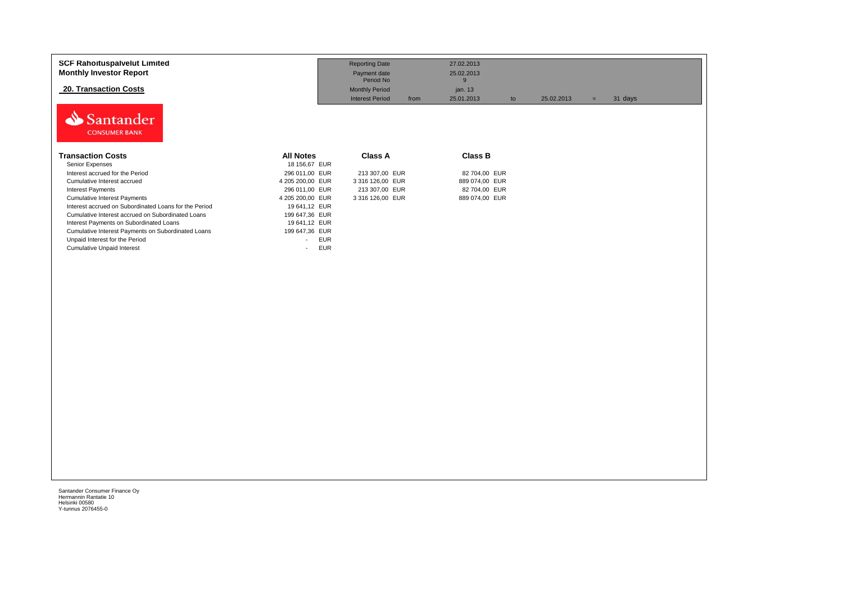| <b>SCF Rahoituspalvelut Limited</b><br><b>Monthly Investor Report</b> |                      | <b>Reporting Date</b><br>Payment date<br>Period No | 27.02.2013<br>25.02.2013<br>9 |    |            |     |         |
|-----------------------------------------------------------------------|----------------------|----------------------------------------------------|-------------------------------|----|------------|-----|---------|
| <b>20. Transaction Costs</b>                                          |                      | <b>Monthly Period</b>                              | jan. 13                       |    |            |     |         |
|                                                                       |                      | <b>Interest Period</b>                             | from<br>25.01.2013            | to | 25.02.2013 | $=$ | 31 days |
| Santander<br><b>CONSUMER BANK</b>                                     |                      |                                                    |                               |    |            |     |         |
| <b>Transaction Costs</b>                                              | <b>All Notes</b>     | <b>Class A</b>                                     | <b>Class B</b>                |    |            |     |         |
| Senior Expenses                                                       | 18 156.67 EUR        |                                                    |                               |    |            |     |         |
| Interest accrued for the Period                                       | 296 011.00 EUR       | 213 307,00 EUR                                     | 82 704,00 EUR                 |    |            |     |         |
| Cumulative Interest accrued                                           | 4 205 200,00 EUR     | 3 316 126,00 EUR                                   | 889 074,00 EUR                |    |            |     |         |
| <b>Interest Payments</b>                                              | 296 011.00 EUR       | 213 307,00 EUR                                     | 82 704,00 EUR                 |    |            |     |         |
| <b>Cumulative Interest Payments</b>                                   | 4 205 200,00 EUR     | 3 316 126,00 EUR                                   | 889 074,00 EUR                |    |            |     |         |
| Interest accrued on Subordinated Loans for the Period                 | 19 641,12 EUR        |                                                    |                               |    |            |     |         |
| Cumulative Interest accrued on Subordinated Loans                     | 199 647,36 EUR       |                                                    |                               |    |            |     |         |
| Interest Payments on Subordinated Loans                               | 19 641,12 EUR        |                                                    |                               |    |            |     |         |
| Cumulative Interest Payments on Subordinated Loans                    | 199 647,36 EUR       |                                                    |                               |    |            |     |         |
| Unpaid Interest for the Period                                        | <b>EUR</b><br>$\sim$ |                                                    |                               |    |            |     |         |
| <b>Cumulative Unpaid Interest</b>                                     | <b>EUR</b><br>$\sim$ |                                                    |                               |    |            |     |         |
|                                                                       |                      |                                                    |                               |    |            |     |         |
|                                                                       |                      |                                                    |                               |    |            |     |         |
|                                                                       |                      |                                                    |                               |    |            |     |         |
|                                                                       |                      |                                                    |                               |    |            |     |         |
|                                                                       |                      |                                                    |                               |    |            |     |         |
|                                                                       |                      |                                                    |                               |    |            |     |         |
|                                                                       |                      |                                                    |                               |    |            |     |         |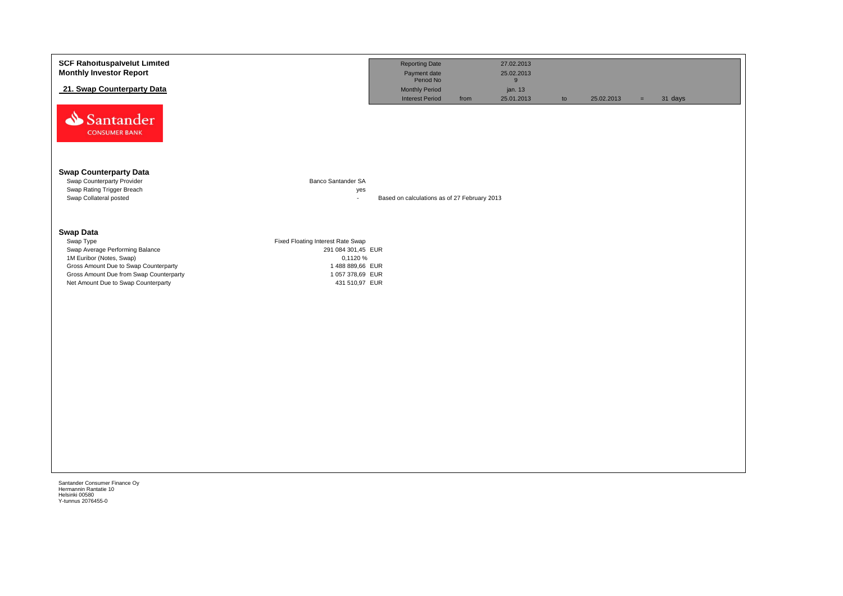| <b>SCF Rahoituspalvelut Limited</b><br><b>Monthly Investor Report</b>              |                                     | <b>Reporting Date</b><br>Payment date<br>Period No |      | 27.02.2013<br>25.02.2013   |    |            |          |         |  |
|------------------------------------------------------------------------------------|-------------------------------------|----------------------------------------------------|------|----------------------------|----|------------|----------|---------|--|
| 21. Swap Counterparty Data                                                         |                                     | <b>Monthly Period</b><br><b>Interest Period</b>    | from | 9<br>jan. 13<br>25.01.2013 | to | 25.02.2013 | $\equiv$ | 31 days |  |
| Santander<br><b>CONSUMER BANK</b>                                                  |                                     |                                                    |      |                            |    |            |          |         |  |
| <b>Swap Counterparty Data</b>                                                      |                                     |                                                    |      |                            |    |            |          |         |  |
| Swap Counterparty Provider<br>Swap Rating Trigger Breach<br>Swap Collateral posted | Banco Santander SA<br>yes<br>$\sim$ | Based on calculations as of 27 February 2013       |      |                            |    |            |          |         |  |
| <b>Swap Data</b><br>Swap Type                                                      | Fixed Floating Interest Rate Swap   |                                                    |      |                            |    |            |          |         |  |
| Swap Average Performing Balance<br>1M Euribor (Notes, Swap)                        | 291 084 301,45 EUR<br>0,1120 %      |                                                    |      |                            |    |            |          |         |  |
| Gross Amount Due to Swap Counterparty<br>Gross Amount Due from Swap Counterparty   | 1488 889,66 EUR<br>1 057 378,69 EUR |                                                    |      |                            |    |            |          |         |  |
| Net Amount Due to Swap Counterparty                                                | 431 510,97 EUR                      |                                                    |      |                            |    |            |          |         |  |
|                                                                                    |                                     |                                                    |      |                            |    |            |          |         |  |
|                                                                                    |                                     |                                                    |      |                            |    |            |          |         |  |
|                                                                                    |                                     |                                                    |      |                            |    |            |          |         |  |
|                                                                                    |                                     |                                                    |      |                            |    |            |          |         |  |
|                                                                                    |                                     |                                                    |      |                            |    |            |          |         |  |
|                                                                                    |                                     |                                                    |      |                            |    |            |          |         |  |
|                                                                                    |                                     |                                                    |      |                            |    |            |          |         |  |
|                                                                                    |                                     |                                                    |      |                            |    |            |          |         |  |
|                                                                                    |                                     |                                                    |      |                            |    |            |          |         |  |
|                                                                                    |                                     |                                                    |      |                            |    |            |          |         |  |
| Santander Consumer Finance Oy<br>Hermannin Rantatie 10                             |                                     |                                                    |      |                            |    |            |          |         |  |
| Helsinki 00580<br>Y-tunnus 2076455-0                                               |                                     |                                                    |      |                            |    |            |          |         |  |